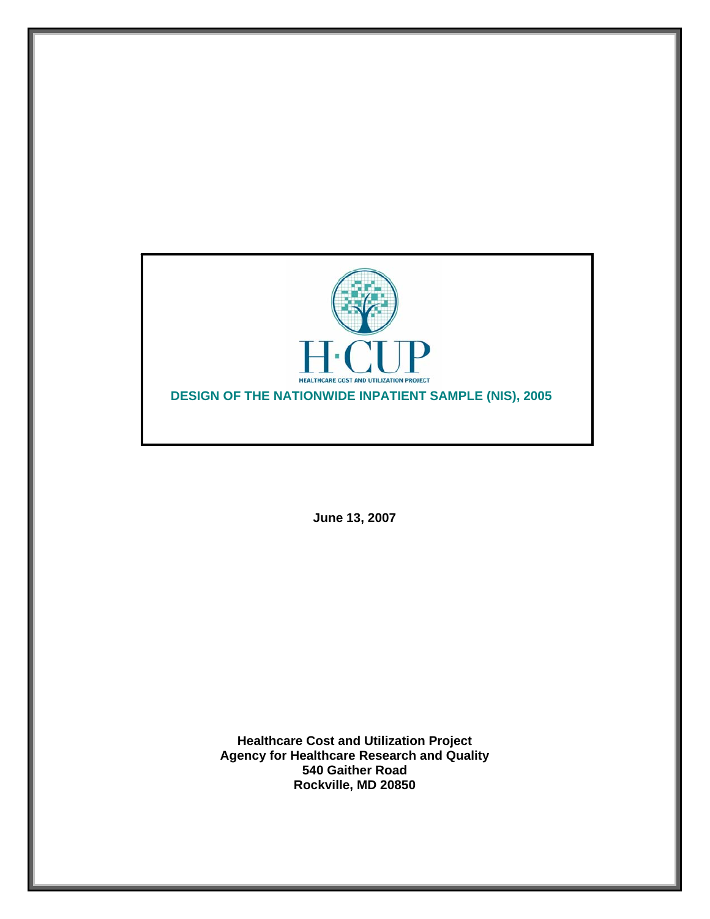

**June 13, 2007** 

**Healthcare Cost and Utilization Project Agency for Healthcare Research and Quality 540 Gaither Road Rockville, MD 20850**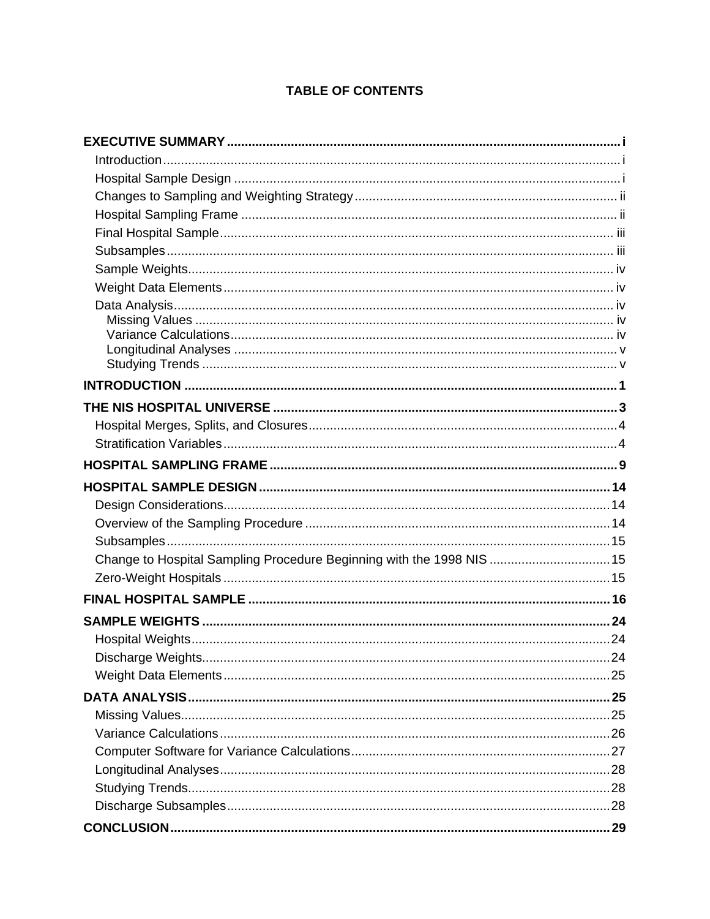# **TABLE OF CONTENTS**

| Change to Hospital Sampling Procedure Beginning with the 1998 NIS  15 |  |
|-----------------------------------------------------------------------|--|
|                                                                       |  |
|                                                                       |  |
|                                                                       |  |
|                                                                       |  |
|                                                                       |  |
|                                                                       |  |
|                                                                       |  |
|                                                                       |  |
|                                                                       |  |
|                                                                       |  |
|                                                                       |  |
|                                                                       |  |
|                                                                       |  |
|                                                                       |  |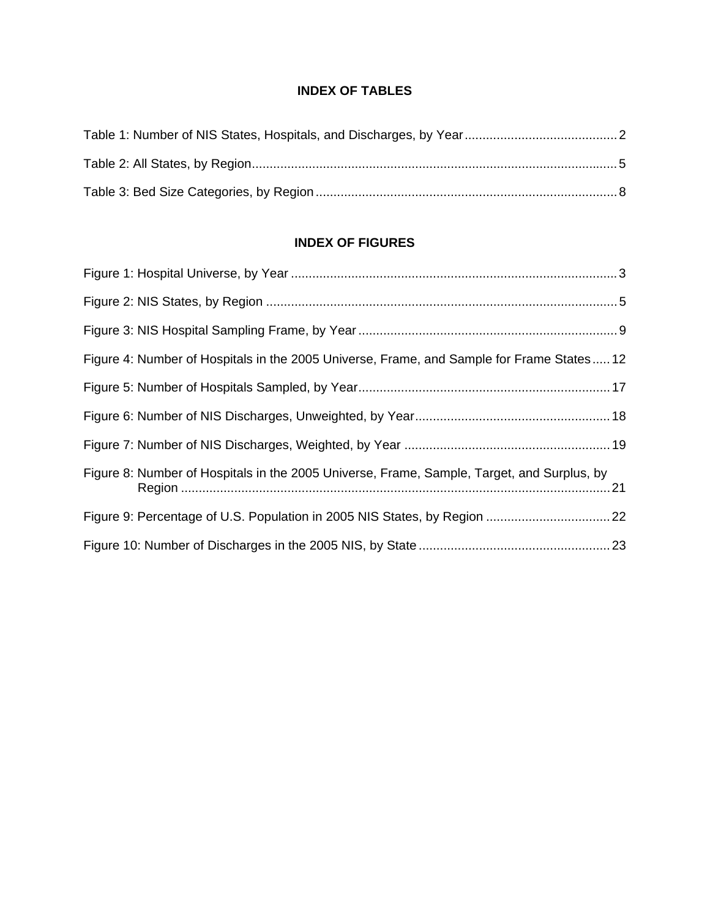# **INDEX OF TABLES**

# **INDEX OF FIGURES**

| Figure 4: Number of Hospitals in the 2005 Universe, Frame, and Sample for Frame States 12  |  |
|--------------------------------------------------------------------------------------------|--|
|                                                                                            |  |
|                                                                                            |  |
|                                                                                            |  |
| Figure 8: Number of Hospitals in the 2005 Universe, Frame, Sample, Target, and Surplus, by |  |
|                                                                                            |  |
|                                                                                            |  |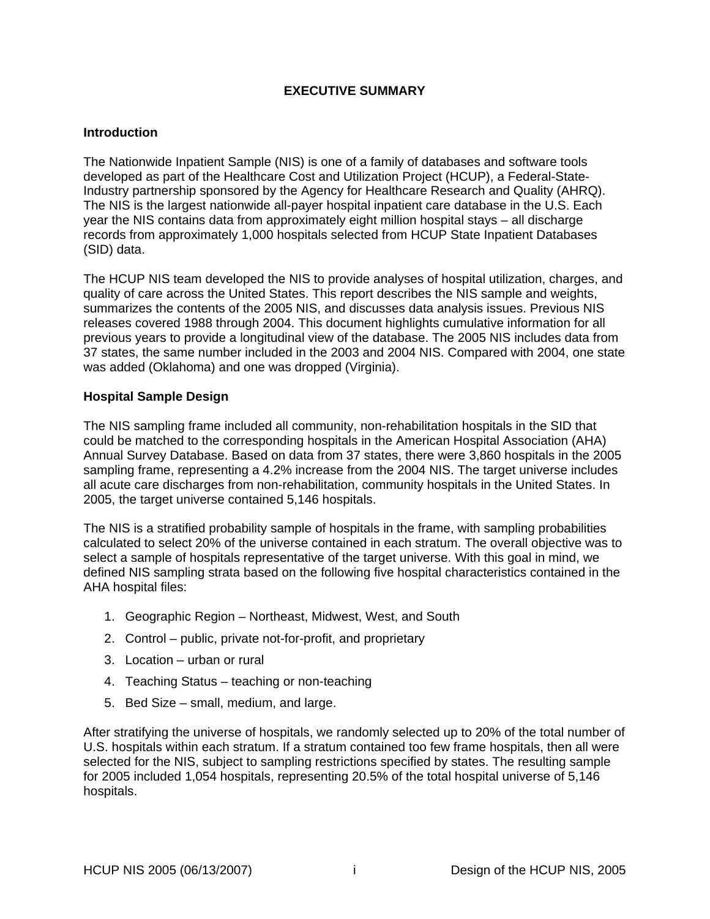## **EXECUTIVE SUMMARY**

#### <span id="page-3-0"></span>**Introduction**

The Nationwide Inpatient Sample (NIS) is one of a family of databases and software tools developed as part of the Healthcare Cost and Utilization Project (HCUP), a Federal-State-Industry partnership sponsored by the Agency for Healthcare Research and Quality (AHRQ). The NIS is the largest nationwide all-payer hospital inpatient care database in the U.S. Each year the NIS contains data from approximately eight million hospital stays – all discharge records from approximately 1,000 hospitals selected from HCUP State Inpatient Databases (SID) data.

The HCUP NIS team developed the NIS to provide analyses of hospital utilization, charges, and quality of care across the United States. This report describes the NIS sample and weights, summarizes the contents of the 2005 NIS, and discusses data analysis issues. Previous NIS releases covered 1988 through 2004. This document highlights cumulative information for all previous years to provide a longitudinal view of the database. The 2005 NIS includes data from 37 states, the same number included in the 2003 and 2004 NIS. Compared with 2004, one state was added (Oklahoma) and one was dropped (Virginia).

#### **Hospital Sample Design**

The NIS sampling frame included all community, non-rehabilitation hospitals in the SID that could be matched to the corresponding hospitals in the American Hospital Association (AHA) Annual Survey Database. Based on data from 37 states, there were 3,860 hospitals in the 2005 sampling frame, representing a 4.2% increase from the 2004 NIS. The target universe includes all acute care discharges from non-rehabilitation, community hospitals in the United States. In 2005, the target universe contained 5,146 hospitals.

The NIS is a stratified probability sample of hospitals in the frame, with sampling probabilities calculated to select 20% of the universe contained in each stratum. The overall objective was to select a sample of hospitals representative of the target universe. With this goal in mind, we defined NIS sampling strata based on the following five hospital characteristics contained in the AHA hospital files:

- 1. Geographic Region Northeast, Midwest, West, and South
- 2. Control public, private not-for-profit, and proprietary
- 3. Location urban or rural
- 4. Teaching Status teaching or non-teaching
- 5. Bed Size small, medium, and large.

After stratifying the universe of hospitals, we randomly selected up to 20% of the total number of U.S. hospitals within each stratum. If a stratum contained too few frame hospitals, then all were selected for the NIS, subject to sampling restrictions specified by states. The resulting sample for 2005 included 1,054 hospitals, representing 20.5% of the total hospital universe of 5,146 hospitals.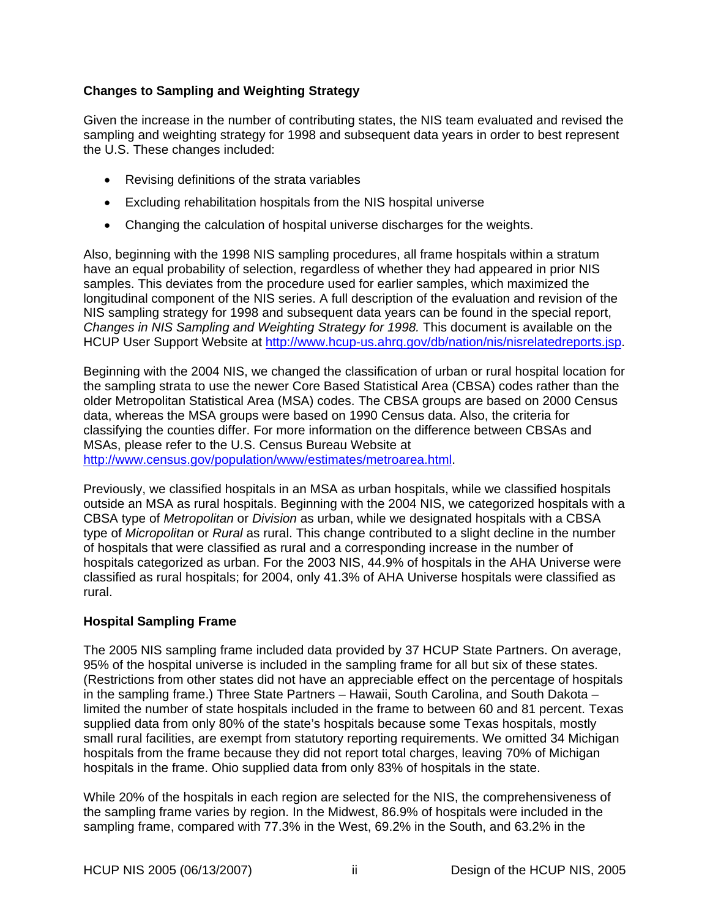## <span id="page-4-0"></span>**Changes to Sampling and Weighting Strategy**

Given the increase in the number of contributing states, the NIS team evaluated and revised the sampling and weighting strategy for 1998 and subsequent data years in order to best represent the U.S. These changes included:

- Revising definitions of the strata variables
- Excluding rehabilitation hospitals from the NIS hospital universe
- Changing the calculation of hospital universe discharges for the weights.

Also, beginning with the 1998 NIS sampling procedures, all frame hospitals within a stratum have an equal probability of selection, regardless of whether they had appeared in prior NIS samples. This deviates from the procedure used for earlier samples, which maximized the longitudinal component of the NIS series. A full description of the evaluation and revision of the NIS sampling strategy for 1998 and subsequent data years can be found in the special report, *Changes in NIS Sampling and Weighting Strategy for 1998.* This document is available on the HCUP User Support Website at<http://www.hcup-us.ahrq.gov/db/nation/nis/nisrelatedreports.jsp>.

Beginning with the 2004 NIS, we changed the classification of urban or rural hospital location for the sampling strata to use the newer Core Based Statistical Area (CBSA) codes rather than the older Metropolitan Statistical Area (MSA) codes. The CBSA groups are based on 2000 Census data, whereas the MSA groups were based on 1990 Census data. Also, the criteria for classifying the counties differ. For more information on the difference between CBSAs and MSAs, please refer to the U.S. Census Bureau Website at [http://www.census.gov/population/www/estimates/metroarea.html.](http://www.census.gov/population/www/estimates/metroarea.html)

Previously, we classified hospitals in an MSA as urban hospitals, while we classified hospitals outside an MSA as rural hospitals. Beginning with the 2004 NIS, we categorized hospitals with a CBSA type of *Metropolitan* or *Division* as urban, while we designated hospitals with a CBSA type of *Micropolitan* or *Rural* as rural. This change contributed to a slight decline in the number of hospitals that were classified as rural and a corresponding increase in the number of hospitals categorized as urban. For the 2003 NIS, 44.9% of hospitals in the AHA Universe were classified as rural hospitals; for 2004, only 41.3% of AHA Universe hospitals were classified as rural.

## **Hospital Sampling Frame**

The 2005 NIS sampling frame included data provided by 37 HCUP State Partners. On average, 95% of the hospital universe is included in the sampling frame for all but six of these states. (Restrictions from other states did not have an appreciable effect on the percentage of hospitals in the sampling frame.) Three State Partners – Hawaii, South Carolina, and South Dakota – limited the number of state hospitals included in the frame to between 60 and 81 percent. Texas supplied data from only 80% of the state's hospitals because some Texas hospitals, mostly small rural facilities, are exempt from statutory reporting requirements. We omitted 34 Michigan hospitals from the frame because they did not report total charges, leaving 70% of Michigan hospitals in the frame. Ohio supplied data from only 83% of hospitals in the state.

While 20% of the hospitals in each region are selected for the NIS, the comprehensiveness of the sampling frame varies by region. In the Midwest, 86.9% of hospitals were included in the sampling frame, compared with 77.3% in the West, 69.2% in the South, and 63.2% in the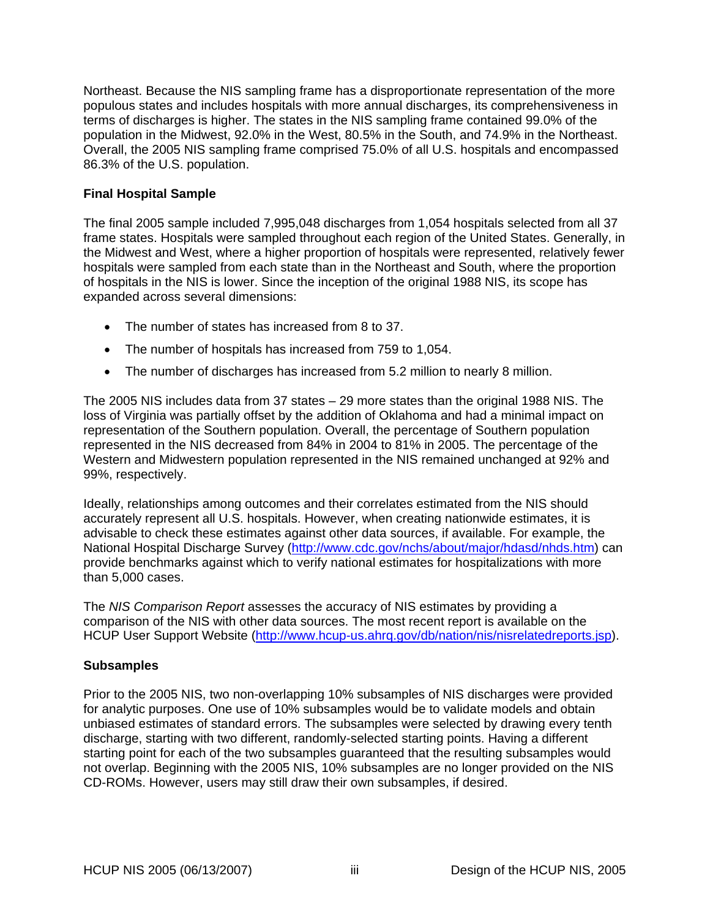<span id="page-5-0"></span>Northeast. Because the NIS sampling frame has a disproportionate representation of the more populous states and includes hospitals with more annual discharges, its comprehensiveness in terms of discharges is higher. The states in the NIS sampling frame contained 99.0% of the population in the Midwest, 92.0% in the West, 80.5% in the South, and 74.9% in the Northeast. Overall, the 2005 NIS sampling frame comprised 75.0% of all U.S. hospitals and encompassed 86.3% of the U.S. population.

## **Final Hospital Sample**

The final 2005 sample included 7,995,048 discharges from 1,054 hospitals selected from all 37 frame states. Hospitals were sampled throughout each region of the United States. Generally, in the Midwest and West, where a higher proportion of hospitals were represented, relatively fewer hospitals were sampled from each state than in the Northeast and South, where the proportion of hospitals in the NIS is lower. Since the inception of the original 1988 NIS, its scope has expanded across several dimensions:

- The number of states has increased from 8 to 37.
- The number of hospitals has increased from 759 to 1,054.
- The number of discharges has increased from 5.2 million to nearly 8 million.

The 2005 NIS includes data from 37 states – 29 more states than the original 1988 NIS. The loss of Virginia was partially offset by the addition of Oklahoma and had a minimal impact on representation of the Southern population. Overall, the percentage of Southern population represented in the NIS decreased from 84% in 2004 to 81% in 2005. The percentage of the Western and Midwestern population represented in the NIS remained unchanged at 92% and 99%, respectively.

Ideally, relationships among outcomes and their correlates estimated from the NIS should accurately represent all U.S. hospitals. However, when creating nationwide estimates, it is advisable to check these estimates against other data sources, if available. For example, the National Hospital Discharge Survey ([http://www.cdc.gov/nchs/about/major/hdasd/nhds.htm\)](http://www.cdc.gov/nchs/about/major/hdasd/nhds.htm) can provide benchmarks against which to verify national estimates for hospitalizations with more than 5,000 cases.

The *NIS Comparison Report* assesses the accuracy of NIS estimates by providing a comparison of the NIS with other data sources. The most recent report is available on the HCUP User Support Website [\(http://www.hcup-us.ahrq.gov/db/nation/nis/nisrelatedreports.jsp\)](http://www.hcup-us.ahrq.gov/db/nation/nis/nisrelatedreports.jsp).

## **Subsamples**

Prior to the 2005 NIS, two non-overlapping 10% subsamples of NIS discharges were provided for analytic purposes. One use of 10% subsamples would be to validate models and obtain unbiased estimates of standard errors. The subsamples were selected by drawing every tenth discharge, starting with two different, randomly-selected starting points. Having a different starting point for each of the two subsamples guaranteed that the resulting subsamples would not overlap. Beginning with the 2005 NIS, 10% subsamples are no longer provided on the NIS CD-ROMs. However, users may still draw their own subsamples, if desired.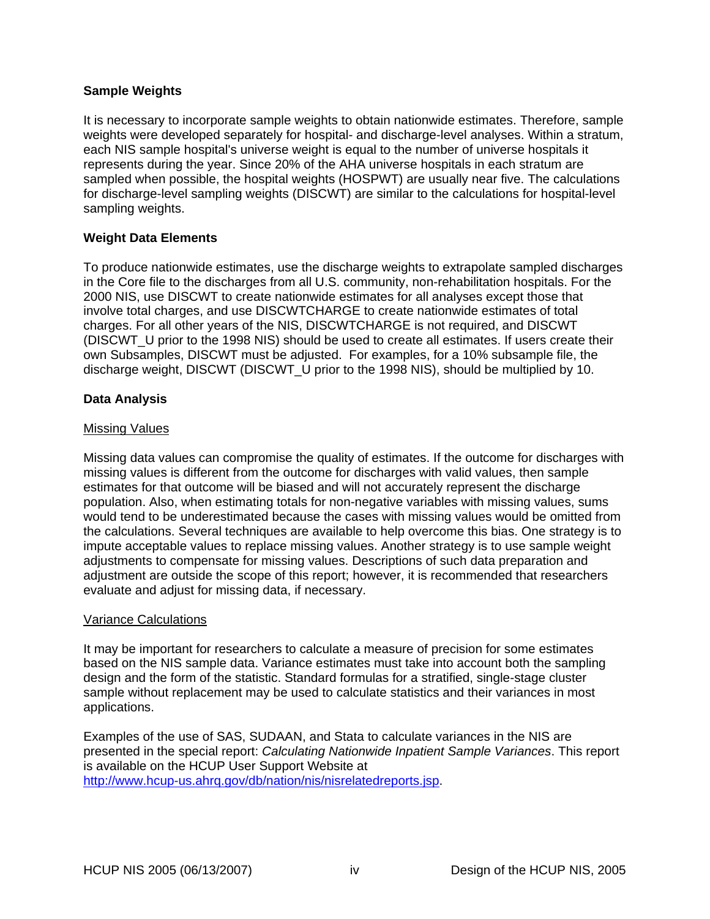## <span id="page-6-0"></span>**Sample Weights**

It is necessary to incorporate sample weights to obtain nationwide estimates. Therefore, sample weights were developed separately for hospital- and discharge-level analyses. Within a stratum, each NIS sample hospital's universe weight is equal to the number of universe hospitals it represents during the year. Since 20% of the AHA universe hospitals in each stratum are sampled when possible, the hospital weights (HOSPWT) are usually near five. The calculations for discharge-level sampling weights (DISCWT) are similar to the calculations for hospital-level sampling weights.

#### **Weight Data Elements**

To produce nationwide estimates, use the discharge weights to extrapolate sampled discharges in the Core file to the discharges from all U.S. community, non-rehabilitation hospitals. For the 2000 NIS, use DISCWT to create nationwide estimates for all analyses except those that involve total charges, and use DISCWTCHARGE to create nationwide estimates of total charges. For all other years of the NIS, DISCWTCHARGE is not required, and DISCWT (DISCWT U prior to the 1998 NIS) should be used to create all estimates. If users create their own Subsamples, DISCWT must be adjusted. For examples, for a 10% subsample file, the discharge weight, DISCWT (DISCWT\_U prior to the 1998 NIS), should be multiplied by 10.

#### **Data Analysis**

#### Missing Values

Missing data values can compromise the quality of estimates. If the outcome for discharges with missing values is different from the outcome for discharges with valid values, then sample estimates for that outcome will be biased and will not accurately represent the discharge population. Also, when estimating totals for non-negative variables with missing values, sums would tend to be underestimated because the cases with missing values would be omitted from the calculations. Several techniques are available to help overcome this bias. One strategy is to impute acceptable values to replace missing values. Another strategy is to use sample weight adjustments to compensate for missing values. Descriptions of such data preparation and adjustment are outside the scope of this report; however, it is recommended that researchers evaluate and adjust for missing data, if necessary.

#### Variance Calculations

It may be important for researchers to calculate a measure of precision for some estimates based on the NIS sample data. Variance estimates must take into account both the sampling design and the form of the statistic. Standard formulas for a stratified, single-stage cluster sample without replacement may be used to calculate statistics and their variances in most applications.

Examples of the use of SAS, SUDAAN, and Stata to calculate variances in the NIS are presented in the special report: *Calculating Nationwide Inpatient Sample Variances*. This report is available on the HCUP User Support Website at [http://www.hcup-us.ahrq.gov/db/nation/nis/nisrelatedreports.jsp.](http://www.hcup-us.ahrq.gov/db/nation/nis/nisrelatedreports.jsp)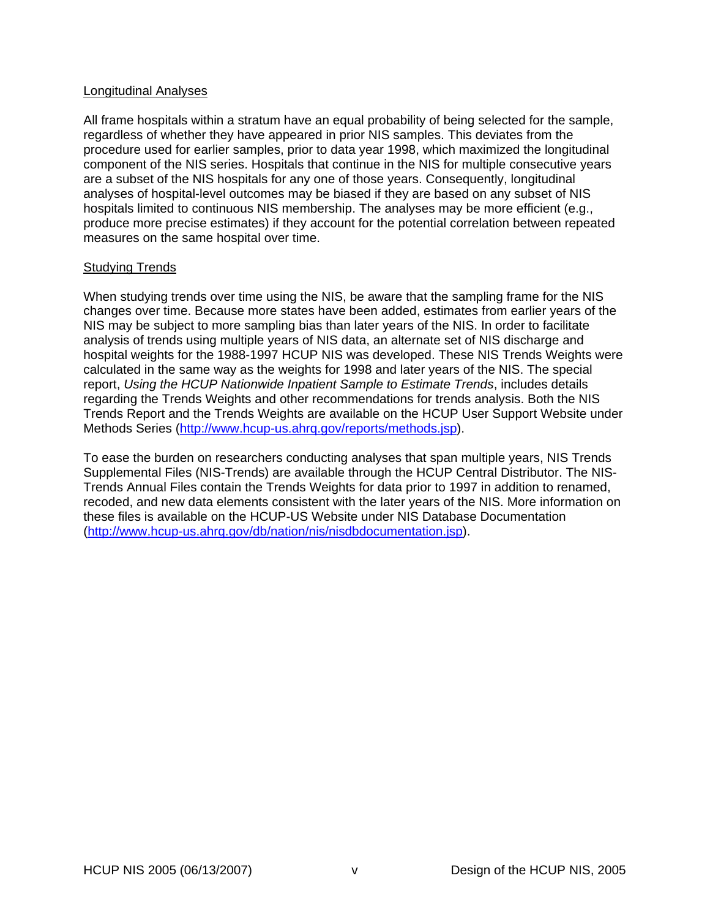#### <span id="page-7-0"></span>Longitudinal Analyses

All frame hospitals within a stratum have an equal probability of being selected for the sample, regardless of whether they have appeared in prior NIS samples. This deviates from the procedure used for earlier samples, prior to data year 1998, which maximized the longitudinal component of the NIS series. Hospitals that continue in the NIS for multiple consecutive years are a subset of the NIS hospitals for any one of those years. Consequently, longitudinal analyses of hospital-level outcomes may be biased if they are based on any subset of NIS hospitals limited to continuous NIS membership. The analyses may be more efficient (e.g., produce more precise estimates) if they account for the potential correlation between repeated measures on the same hospital over time.

#### Studying Trends

When studying trends over time using the NIS, be aware that the sampling frame for the NIS changes over time. Because more states have been added, estimates from earlier years of the NIS may be subject to more sampling bias than later years of the NIS. In order to facilitate analysis of trends using multiple years of NIS data, an alternate set of NIS discharge and hospital weights for the 1988-1997 HCUP NIS was developed. These NIS Trends Weights were calculated in the same way as the weights for 1998 and later years of the NIS. The special report, *[Using the HCUP Nationwide Inpatient Sample to Estimate Trends](http://www.hcup-us.ahrq.gov/reports/TrendReport2005_1.pdf)*, includes details regarding the Trends Weights and other recommendations for trends analysis. Both the NIS Trends Report and the Trends Weights are available on the HCUP User Support Website under Methods Series [\(http://www.hcup-us.ahrq.gov/reports/methods.jsp](http://www.hcup-us.ahrq.gov/reports/methods.jsp)).

To ease the burden on researchers conducting analyses that span multiple years, NIS Trends Supplemental Files (NIS-Trends) are available through the HCUP Central Distributor. The NIS-Trends Annual Files contain the Trends Weights for data prior to 1997 in addition to renamed, recoded, and new data elements consistent with the later years of the NIS. More information on these files is available on the HCUP-US Website under NIS Database Documentation (<http://www.hcup-us.ahrq.gov/db/nation/nis/nisdbdocumentation.jsp>).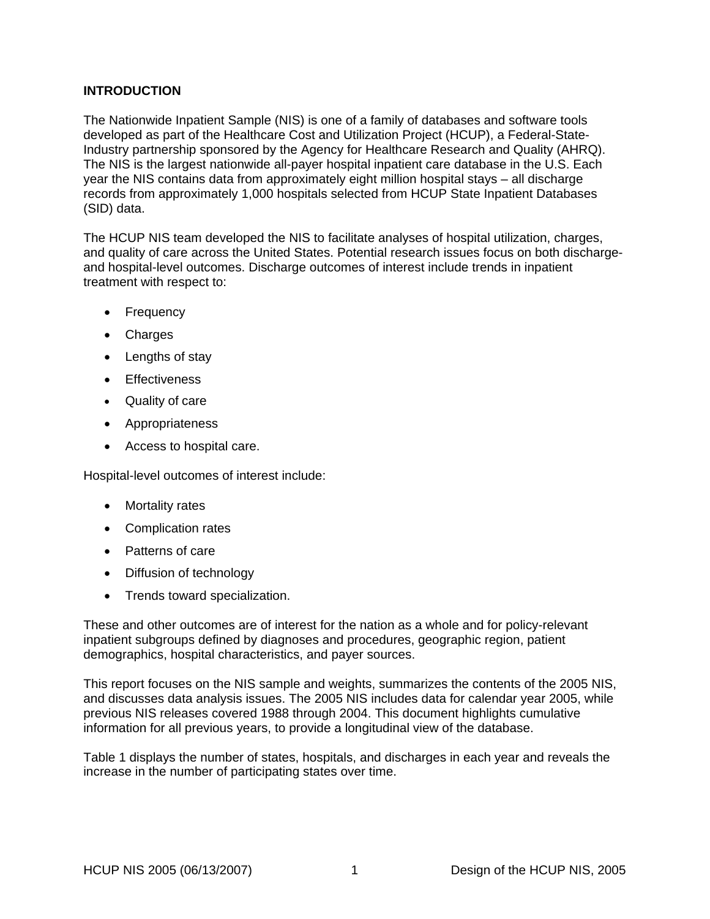## <span id="page-8-0"></span>**INTRODUCTION**

The Nationwide Inpatient Sample (NIS) is one of a family of databases and software tools developed as part of the Healthcare Cost and Utilization Project (HCUP), a Federal-State-Industry partnership sponsored by the Agency for Healthcare Research and Quality (AHRQ). The NIS is the largest nationwide all-payer hospital inpatient care database in the U.S. Each year the NIS contains data from approximately eight million hospital stays – all discharge records from approximately 1,000 hospitals selected from HCUP State Inpatient Databases (SID) data.

The HCUP NIS team developed the NIS to facilitate analyses of hospital utilization, charges, and quality of care across the United States. Potential research issues focus on both dischargeand hospital-level outcomes. Discharge outcomes of interest include trends in inpatient treatment with respect to:

- Frequency
- Charges
- Lengths of stay
- Effectiveness
- Quality of care
- Appropriateness
- Access to hospital care.

Hospital-level outcomes of interest include:

- Mortality rates
- Complication rates
- Patterns of care
- Diffusion of technology
- Trends toward specialization.

These and other outcomes are of interest for the nation as a whole and for policy-relevant inpatient subgroups defined by diagnoses and procedures, geographic region, patient demographics, hospital characteristics, and payer sources.

This report focuses on the NIS sample and weights, summarizes the contents of the 2005 NIS, and discusses data analysis issues. The 2005 NIS includes data for calendar year 2005, while previous NIS releases covered 1988 through 2004. This document highlights cumulative information for all previous years, to provide a longitudinal view of the database.

[Table 1](#page-9-1) displays the number of states, hospitals, and discharges in each year and reveals the increase in the number of participating states over time.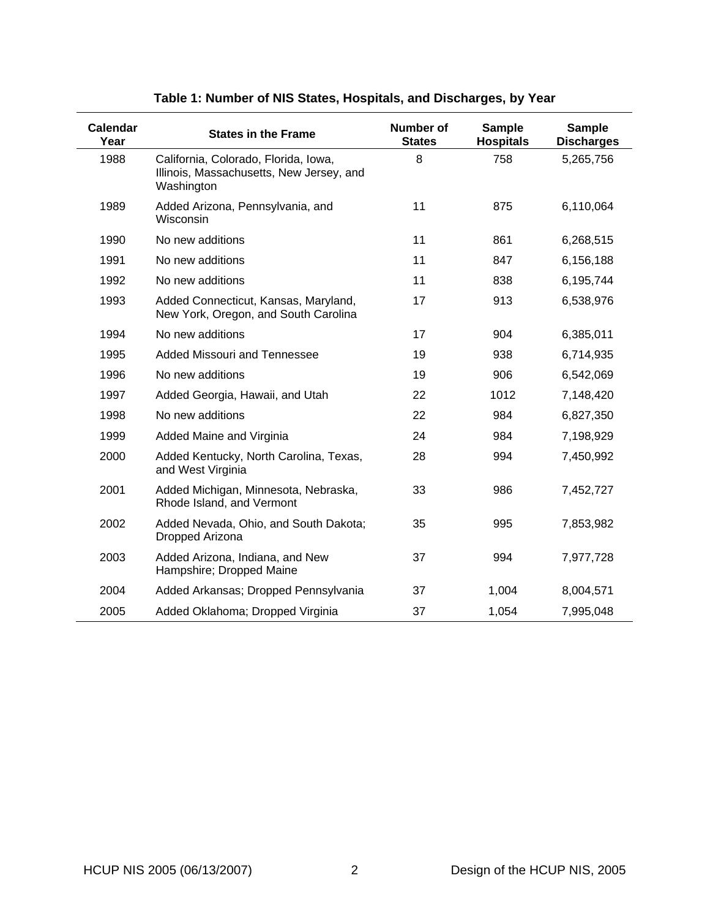<span id="page-9-1"></span><span id="page-9-0"></span>

| <b>Calendar</b><br>Year | <b>States in the Frame</b>                                                                     | Number of<br><b>States</b> | <b>Sample</b><br><b>Hospitals</b> | <b>Sample</b><br><b>Discharges</b> |
|-------------------------|------------------------------------------------------------------------------------------------|----------------------------|-----------------------------------|------------------------------------|
| 1988                    | California, Colorado, Florida, Iowa,<br>Illinois, Massachusetts, New Jersey, and<br>Washington | 8                          | 758                               | 5,265,756                          |
| 1989                    | Added Arizona, Pennsylvania, and<br>Wisconsin                                                  | 11                         | 875                               | 6,110,064                          |
| 1990                    | No new additions                                                                               | 11                         | 861                               | 6,268,515                          |
| 1991                    | No new additions                                                                               | 11                         | 847                               | 6,156,188                          |
| 1992                    | No new additions                                                                               | 11                         | 838                               | 6,195,744                          |
| 1993                    | Added Connecticut, Kansas, Maryland,<br>New York, Oregon, and South Carolina                   | 17                         | 913                               | 6,538,976                          |
| 1994                    | No new additions                                                                               | 17                         | 904                               | 6,385,011                          |
| 1995                    | Added Missouri and Tennessee                                                                   | 19                         | 938                               | 6,714,935                          |
| 1996                    | No new additions                                                                               | 19                         | 906                               | 6,542,069                          |
| 1997                    | Added Georgia, Hawaii, and Utah                                                                | 22                         | 1012                              | 7,148,420                          |
| 1998                    | No new additions                                                                               | 22                         | 984                               | 6,827,350                          |
| 1999                    | Added Maine and Virginia                                                                       | 24                         | 984                               | 7,198,929                          |
| 2000                    | Added Kentucky, North Carolina, Texas,<br>and West Virginia                                    | 28                         | 994                               | 7,450,992                          |
| 2001                    | Added Michigan, Minnesota, Nebraska,<br>Rhode Island, and Vermont                              | 33                         | 986                               | 7,452,727                          |
| 2002                    | Added Nevada, Ohio, and South Dakota;<br>Dropped Arizona                                       | 35                         | 995                               | 7,853,982                          |
| 2003                    | Added Arizona, Indiana, and New<br>Hampshire; Dropped Maine                                    | 37                         | 994                               | 7,977,728                          |
| 2004                    | Added Arkansas; Dropped Pennsylvania                                                           | 37                         | 1,004                             | 8,004,571                          |
| 2005                    | Added Oklahoma; Dropped Virginia                                                               | 37                         | 1,054                             | 7,995,048                          |

# **Table 1: Number of NIS States, Hospitals, and Discharges, by Year**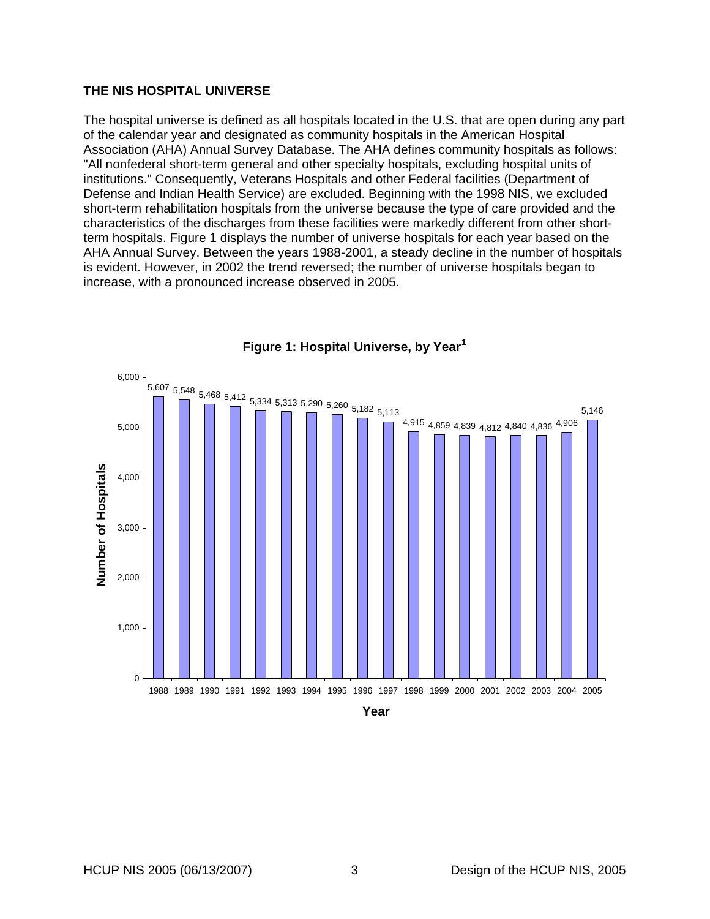#### <span id="page-10-0"></span>**THE NIS HOSPITAL UNIVERSE**

The hospital universe is defined as all hospitals located in the U.S. that are open during any part of the calendar year and designated as community hospitals in the American Hospital Association (AHA) Annual Survey Database. The AHA defines community hospitals as follows: "All nonfederal short-term general and other specialty hospitals, excluding hospital units of institutions." Consequently, Veterans Hospitals and other Federal facilities (Department of Defense and Indian Health Service) are excluded. Beginning with the 1998 NIS, we excluded short-term rehabilitation hospitals from the universe because the type of care provided and the characteristics of the discharges from these facilities were markedly different from other shortterm hospitals. [Figure 1](#page-10-1) displays the number of universe hospitals for each year based on the AHA Annual Survey. Between the years 1988-2001, a steady decline in the number of hospitals is evident. However, in 2002 the trend reversed; the number of universe hospitals began to increase, with a pronounced increase observed in 2005.

<span id="page-10-1"></span>

**Figure 1: Hospital Universe, by Year[1](#page-38-0)**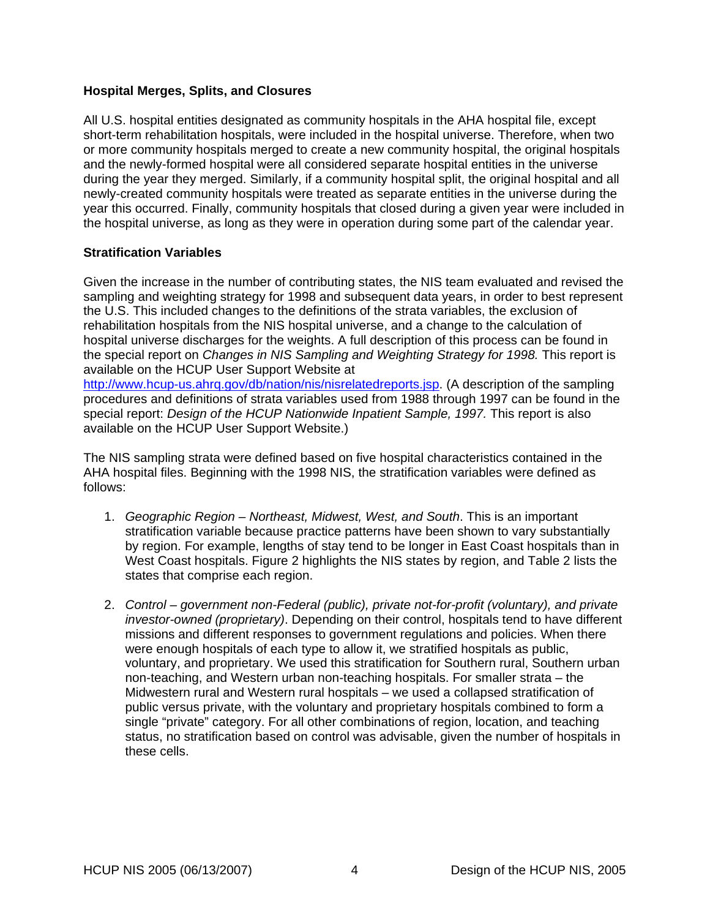## <span id="page-11-0"></span>**Hospital Merges, Splits, and Closures**

All U.S. hospital entities designated as community hospitals in the AHA hospital file, except short-term rehabilitation hospitals, were included in the hospital universe. Therefore, when two or more community hospitals merged to create a new community hospital, the original hospitals and the newly-formed hospital were all considered separate hospital entities in the universe during the year they merged. Similarly, if a community hospital split, the original hospital and all newly-created community hospitals were treated as separate entities in the universe during the year this occurred. Finally, community hospitals that closed during a given year were included in the hospital universe, as long as they were in operation during some part of the calendar year.

#### **Stratification Variables**

Given the increase in the number of contributing states, the NIS team evaluated and revised the sampling and weighting strategy for 1998 and subsequent data years, in order to best represent the U.S. This included changes to the definitions of the strata variables, the exclusion of rehabilitation hospitals from the NIS hospital universe, and a change to the calculation of hospital universe discharges for the weights. A full description of this process can be found in the special report on *Changes in NIS Sampling and Weighting Strategy for 1998.* This report is available on the HCUP User Support Website at

[http://www.hcup-us.ahrq.gov/db/nation/nis/nisrelatedreports.jsp.](http://www.hcup-us.ahrq.gov/db/nation/nis/nisrelatedreports.jsp) (A description of the sampling procedures and definitions of strata variables used from 1988 through 1997 can be found in the special report: *Design of the HCUP Nationwide Inpatient Sample, 1997.* This report is also available on the HCUP User Support Website.)

The NIS sampling strata were defined based on five hospital characteristics contained in the AHA hospital files. Beginning with the 1998 NIS, the stratification variables were defined as follows:

- 1. *Geographic Region Northeast, Midwest, West, and South*. This is an important stratification variable because practice patterns have been shown to vary substantially by region. For example, lengths of stay tend to be longer in East Coast hospitals than in West Coast hospitals. [Figure 2](#page-12-1) highlights the NIS states by region, and [Table 2](#page-12-2) lists the states that comprise each region.
- 2. *Control government non-Federal (public), private not-for-profit (voluntary), and private investor-owned (proprietary)*. Depending on their control, hospitals tend to have different missions and different responses to government regulations and policies. When there were enough hospitals of each type to allow it, we stratified hospitals as public, voluntary, and proprietary. We used this stratification for Southern rural, Southern urban non-teaching, and Western urban non-teaching hospitals. For smaller strata – the Midwestern rural and Western rural hospitals – we used a collapsed stratification of public versus private, with the voluntary and proprietary hospitals combined to form a single "private" category. For all other combinations of region, location, and teaching status, no stratification based on control was advisable, given the number of hospitals in these cells.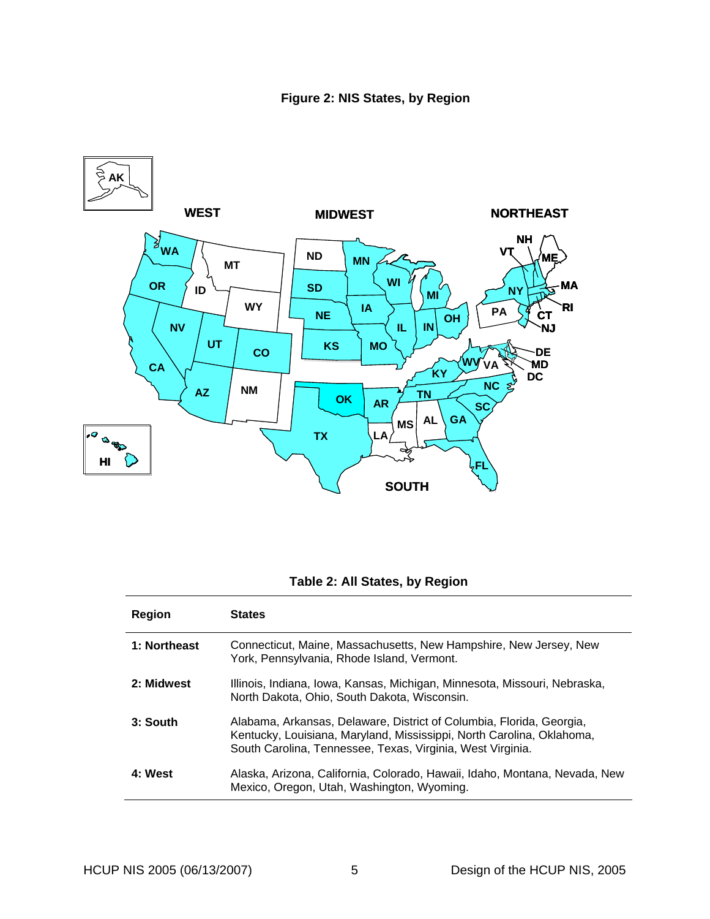<span id="page-12-1"></span><span id="page-12-0"></span>

# **Table 2: All States, by Region**

<span id="page-12-2"></span>

| <b>Region</b> | <b>States</b>                                                                                                                                                                                               |
|---------------|-------------------------------------------------------------------------------------------------------------------------------------------------------------------------------------------------------------|
| 1: Northeast  | Connecticut, Maine, Massachusetts, New Hampshire, New Jersey, New<br>York, Pennsylvania, Rhode Island, Vermont.                                                                                             |
| 2: Midwest    | Illinois, Indiana, Iowa, Kansas, Michigan, Minnesota, Missouri, Nebraska,<br>North Dakota, Ohio, South Dakota, Wisconsin.                                                                                   |
| 3: South      | Alabama, Arkansas, Delaware, District of Columbia, Florida, Georgia,<br>Kentucky, Louisiana, Maryland, Mississippi, North Carolina, Oklahoma,<br>South Carolina, Tennessee, Texas, Virginia, West Virginia. |
| 4: West       | Alaska, Arizona, California, Colorado, Hawaii, Idaho, Montana, Nevada, New<br>Mexico, Oregon, Utah, Washington, Wyoming.                                                                                    |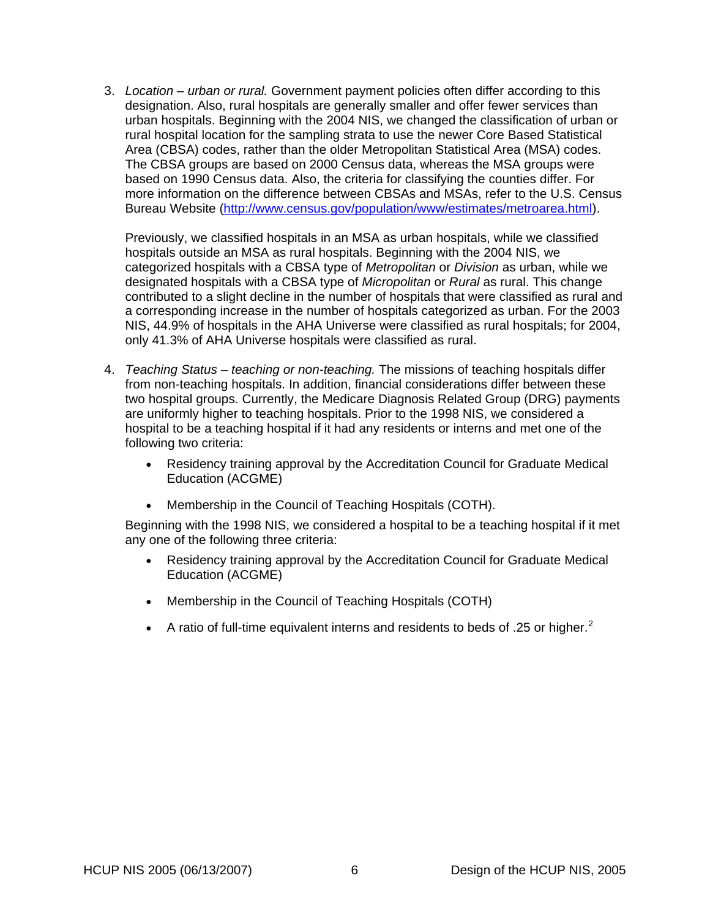3. *Location – urban or rural.* Government payment policies often differ according to this designation. Also, rural hospitals are generally smaller and offer fewer services than urban hospitals. Beginning with the 2004 NIS, we changed the classification of urban or rural hospital location for the sampling strata to use the newer Core Based Statistical Area (CBSA) codes, rather than the older Metropolitan Statistical Area (MSA) codes. The CBSA groups are based on 2000 Census data, whereas the MSA groups were based on 1990 Census data. Also, the criteria for classifying the counties differ. For more information on the difference between CBSAs and MSAs, refer to the U.S. Census Bureau Website [\(http://www.census.gov/population/www/estimates/metroarea.html\)](http://www.census.gov/population/www/estimates/metroarea.html).

Previously, we classified hospitals in an MSA as urban hospitals, while we classified hospitals outside an MSA as rural hospitals. Beginning with the 2004 NIS, we categorized hospitals with a CBSA type of *Metropolitan* or *Division* as urban, while we designated hospitals with a CBSA type of *Micropolitan* or *Rural* as rural. This change contributed to a slight decline in the number of hospitals that were classified as rural and a corresponding increase in the number of hospitals categorized as urban. For the 2003 NIS, 44.9% of hospitals in the AHA Universe were classified as rural hospitals; for 2004, only 41.3% of AHA Universe hospitals were classified as rural.

- 4. *Teaching Status teaching or non-teaching.* The missions of teaching hospitals differ from non-teaching hospitals. In addition, financial considerations differ between these two hospital groups. Currently, the Medicare Diagnosis Related Group (DRG) payments are uniformly higher to teaching hospitals. Prior to the 1998 NIS, we considered a hospital to be a teaching hospital if it had any residents or interns and met one of the following two criteria:
	- Residency training approval by the Accreditation Council for Graduate Medical Education (ACGME)
	- Membership in the Council of Teaching Hospitals (COTH).

Beginning with the 1998 NIS, we considered a hospital to be a teaching hospital if it met any one of the following three criteria:

- Residency training approval by the Accreditation Council for Graduate Medical Education (ACGME)
- Membership in the Council of Teaching Hospitals (COTH)
- A ratio of full-time equivalent interns and residents to beds of .[2](#page-38-1)5 or higher.<sup>2</sup>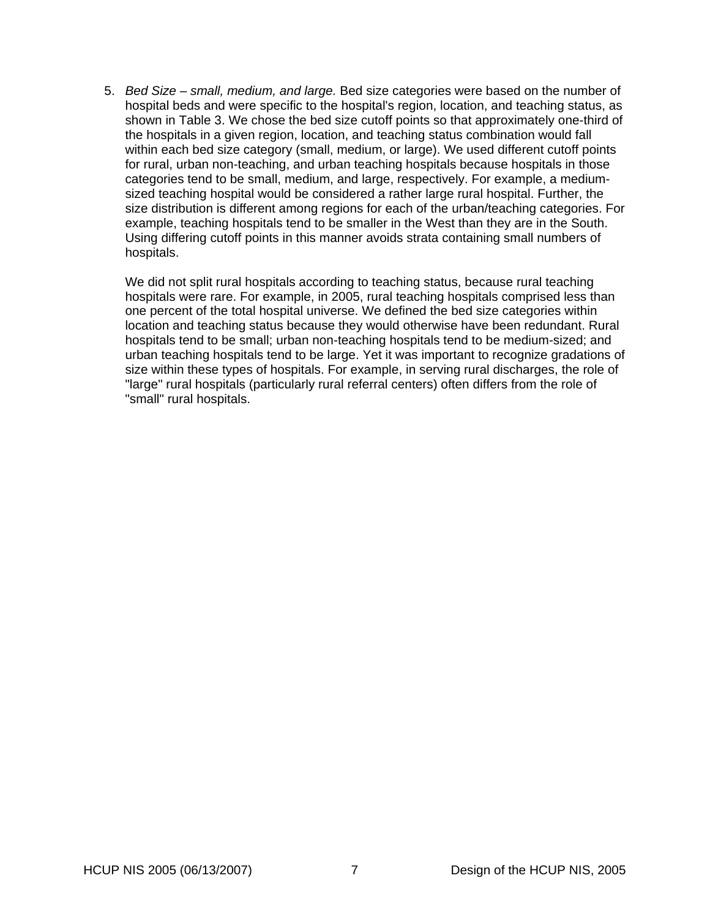5. *Bed Size – small, medium, and large.* Bed size categories were based on the number of hospital beds and were specific to the hospital's region, location, and teaching status, as shown in [Table 3](#page-15-1). We chose the bed size cutoff points so that approximately one-third of the hospitals in a given region, location, and teaching status combination would fall within each bed size category (small, medium, or large). We used different cutoff points for rural, urban non-teaching, and urban teaching hospitals because hospitals in those categories tend to be small, medium, and large, respectively. For example, a mediumsized teaching hospital would be considered a rather large rural hospital. Further, the size distribution is different among regions for each of the urban/teaching categories. For example, teaching hospitals tend to be smaller in the West than they are in the South. Using differing cutoff points in this manner avoids strata containing small numbers of hospitals.

We did not split rural hospitals according to teaching status, because rural teaching hospitals were rare. For example, in 2005, rural teaching hospitals comprised less than one percent of the total hospital universe. We defined the bed size categories within location and teaching status because they would otherwise have been redundant. Rural hospitals tend to be small; urban non-teaching hospitals tend to be medium-sized; and urban teaching hospitals tend to be large. Yet it was important to recognize gradations of size within these types of hospitals. For example, in serving rural discharges, the role of "large" rural hospitals (particularly rural referral centers) often differs from the role of "small" rural hospitals.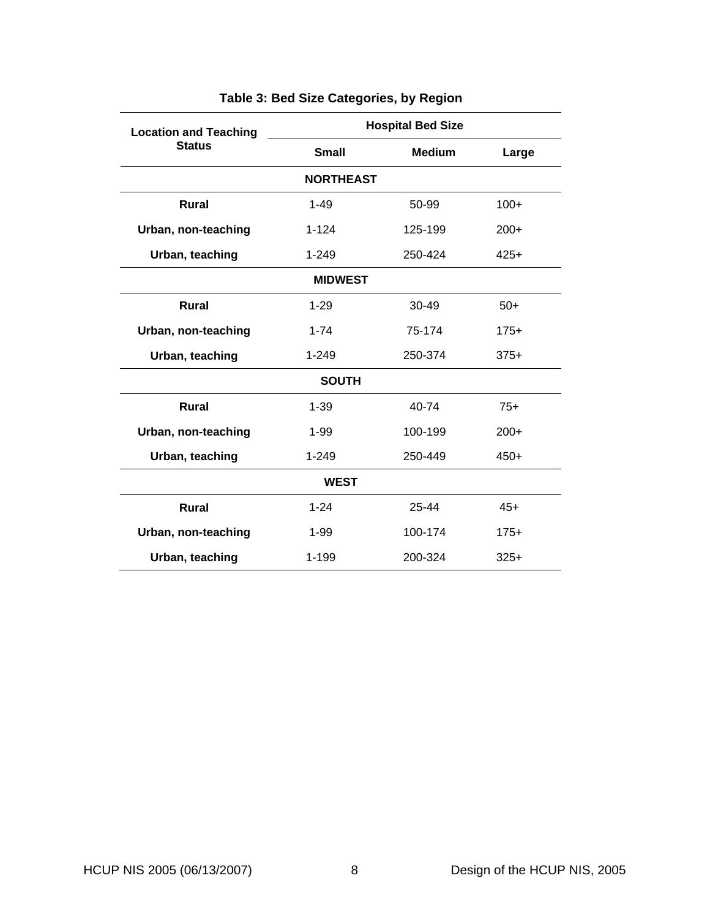<span id="page-15-1"></span><span id="page-15-0"></span>

| <b>Location and Teaching</b> |              | <b>Hospital Bed Size</b> |        |  |
|------------------------------|--------------|--------------------------|--------|--|
| <b>Status</b>                | <b>Small</b> | <b>Medium</b>            | Large  |  |
| <b>NORTHEAST</b>             |              |                          |        |  |
| <b>Rural</b>                 | $1 - 49$     | 50-99                    | $100+$ |  |
| Urban, non-teaching          | $1 - 124$    | 125-199                  | $200+$ |  |
| Urban, teaching              | $1 - 249$    | 250-424                  | $425+$ |  |
| <b>MIDWEST</b>               |              |                          |        |  |
| <b>Rural</b>                 | $1 - 29$     | $30 - 49$                | $50+$  |  |
| Urban, non-teaching          | $1 - 74$     | 75-174                   | $175+$ |  |
| Urban, teaching              | $1 - 249$    | 250-374                  | $375+$ |  |
|                              | <b>SOUTH</b> |                          |        |  |
| <b>Rural</b>                 | $1 - 39$     | 40-74                    | $75+$  |  |
| Urban, non-teaching          | $1 - 99$     | 100-199                  | $200+$ |  |
| Urban, teaching              | $1 - 249$    | 250-449                  | $450+$ |  |
| <b>WEST</b>                  |              |                          |        |  |
| Rural                        | $1 - 24$     | 25-44                    | $45+$  |  |
| Urban, non-teaching          | $1 - 99$     | 100-174                  | $175+$ |  |
| Urban, teaching              | $1 - 199$    | 200-324                  | $325+$ |  |

# **Table 3: Bed Size Categories, by Region**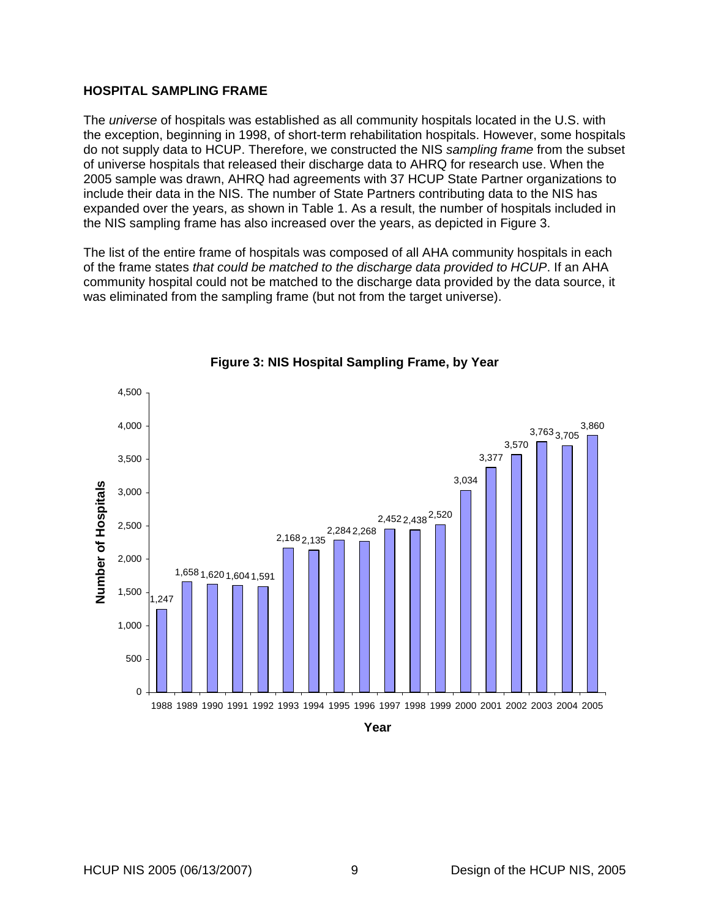#### <span id="page-16-0"></span>**HOSPITAL SAMPLING FRAME**

The *universe* of hospitals was established as all community hospitals located in the U.S. with the exception, beginning in 1998, of short-term rehabilitation hospitals. However, some hospitals do not supply data to HCUP. Therefore, we constructed the NIS *sampling frame* from the subset of universe hospitals that released their discharge data to AHRQ for research use. When the 2005 sample was drawn, AHRQ had agreements with 37 HCUP State Partner organizations to include their data in the NIS. The number of State Partners contributing data to the NIS has expanded over the years, as shown in [Table 1](#page-9-1). As a result, the number of hospitals included in the NIS sampling frame has also increased over the years, as depicted in [Figure 3.](#page-16-1)

The list of the entire frame of hospitals was composed of all AHA community hospitals in each of the frame states *that could be matched to the discharge data provided to HCUP*. If an AHA community hospital could not be matched to the discharge data provided by the data source, it was eliminated from the sampling frame (but not from the target universe).

<span id="page-16-1"></span>

#### **Figure 3: NIS Hospital Sampling Frame, by Year**

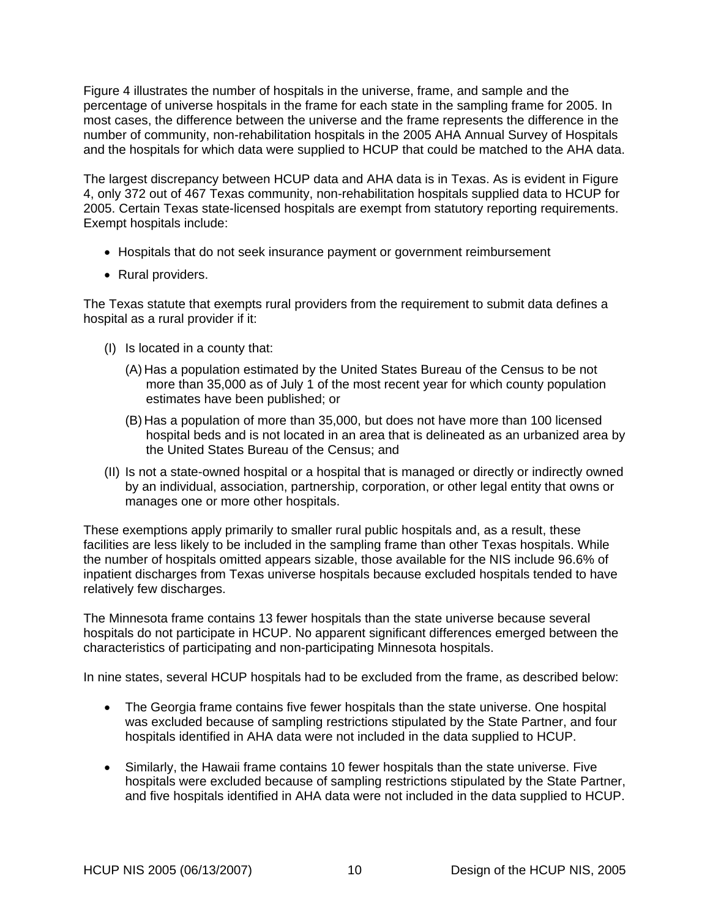[Figure 4](#page-19-1) illustrates the number of hospitals in the universe, frame, and sample and the percentage of universe hospitals in the frame for each state in the sampling frame for 2005. In most cases, the difference between the universe and the frame represents the difference in the number of community, non-rehabilitation hospitals in the 2005 AHA Annual Survey of Hospitals and the hospitals for which data were supplied to HCUP that could be matched to the AHA data.

The largest discrepancy between HCUP data and AHA data is in Texas. As is evident in [Figure](#page-19-1)  [4](#page-19-1), only 372 out of 467 Texas community, non-rehabilitation hospitals supplied data to HCUP for 2005. Certain Texas state-licensed hospitals are exempt from statutory reporting requirements. Exempt hospitals include:

- Hospitals that do not seek insurance payment or government reimbursement
- Rural providers.

The Texas statute that exempts rural providers from the requirement to submit data defines a hospital as a rural provider if it:

- (I) Is located in a county that:
	- (A) Has a population estimated by the United States Bureau of the Census to be not more than 35,000 as of July 1 of the most recent year for which county population estimates have been published; or
	- (B) Has a population of more than 35,000, but does not have more than 100 licensed hospital beds and is not located in an area that is delineated as an urbanized area by the United States Bureau of the Census; and
- (II) Is not a state-owned hospital or a hospital that is managed or directly or indirectly owned by an individual, association, partnership, corporation, or other legal entity that owns or manages one or more other hospitals.

These exemptions apply primarily to smaller rural public hospitals and, as a result, these facilities are less likely to be included in the sampling frame than other Texas hospitals. While the number of hospitals omitted appears sizable, those available for the NIS include 96.6% of inpatient discharges from Texas universe hospitals because excluded hospitals tended to have relatively few discharges.

The Minnesota frame contains 13 fewer hospitals than the state universe because several hospitals do not participate in HCUP. No apparent significant differences emerged between the characteristics of participating and non-participating Minnesota hospitals.

In nine states, several HCUP hospitals had to be excluded from the frame, as described below:

- The Georgia frame contains five fewer hospitals than the state universe. One hospital was excluded because of sampling restrictions stipulated by the State Partner, and four hospitals identified in AHA data were not included in the data supplied to HCUP.
- Similarly, the Hawaii frame contains 10 fewer hospitals than the state universe. Five hospitals were excluded because of sampling restrictions stipulated by the State Partner, and five hospitals identified in AHA data were not included in the data supplied to HCUP.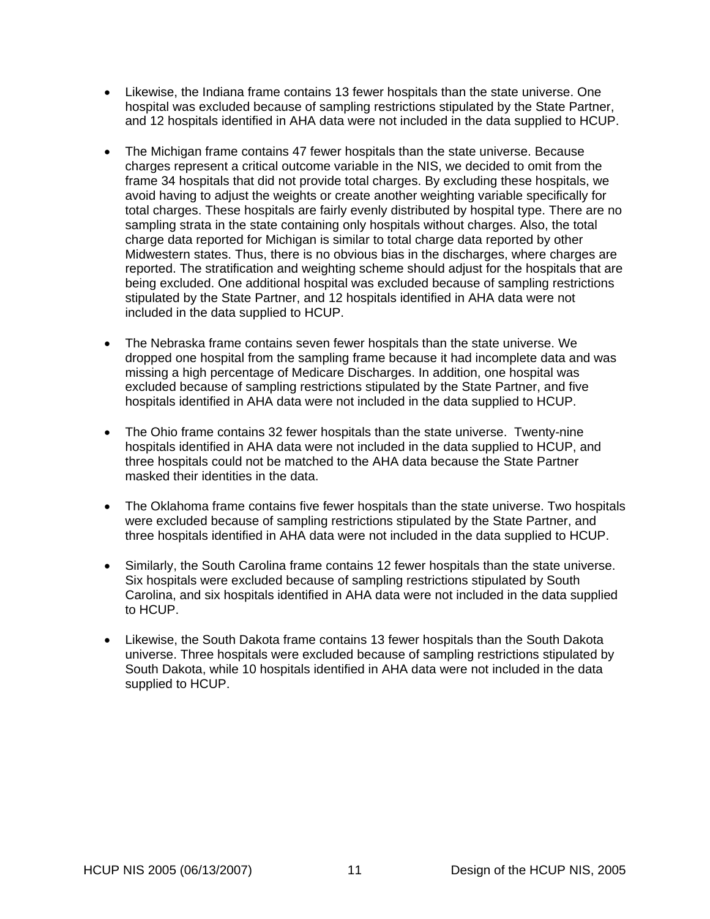- Likewise, the Indiana frame contains 13 fewer hospitals than the state universe. One hospital was excluded because of sampling restrictions stipulated by the State Partner, and 12 hospitals identified in AHA data were not included in the data supplied to HCUP.
- The Michigan frame contains 47 fewer hospitals than the state universe. Because charges represent a critical outcome variable in the NIS, we decided to omit from the frame 34 hospitals that did not provide total charges. By excluding these hospitals, we avoid having to adjust the weights or create another weighting variable specifically for total charges. These hospitals are fairly evenly distributed by hospital type. There are no sampling strata in the state containing only hospitals without charges. Also, the total charge data reported for Michigan is similar to total charge data reported by other Midwestern states. Thus, there is no obvious bias in the discharges, where charges are reported. The stratification and weighting scheme should adjust for the hospitals that are being excluded. One additional hospital was excluded because of sampling restrictions stipulated by the State Partner, and 12 hospitals identified in AHA data were not included in the data supplied to HCUP.
- The Nebraska frame contains seven fewer hospitals than the state universe. We dropped one hospital from the sampling frame because it had incomplete data and was missing a high percentage of Medicare Discharges. In addition, one hospital was excluded because of sampling restrictions stipulated by the State Partner, and five hospitals identified in AHA data were not included in the data supplied to HCUP.
- The Ohio frame contains 32 fewer hospitals than the state universe. Twenty-nine hospitals identified in AHA data were not included in the data supplied to HCUP, and three hospitals could not be matched to the AHA data because the State Partner masked their identities in the data.
- The Oklahoma frame contains five fewer hospitals than the state universe. Two hospitals were excluded because of sampling restrictions stipulated by the State Partner, and three hospitals identified in AHA data were not included in the data supplied to HCUP.
- Similarly, the South Carolina frame contains 12 fewer hospitals than the state universe. Six hospitals were excluded because of sampling restrictions stipulated by South Carolina, and six hospitals identified in AHA data were not included in the data supplied to HCUP.
- Likewise, the South Dakota frame contains 13 fewer hospitals than the South Dakota universe. Three hospitals were excluded because of sampling restrictions stipulated by South Dakota, while 10 hospitals identified in AHA data were not included in the data supplied to HCUP.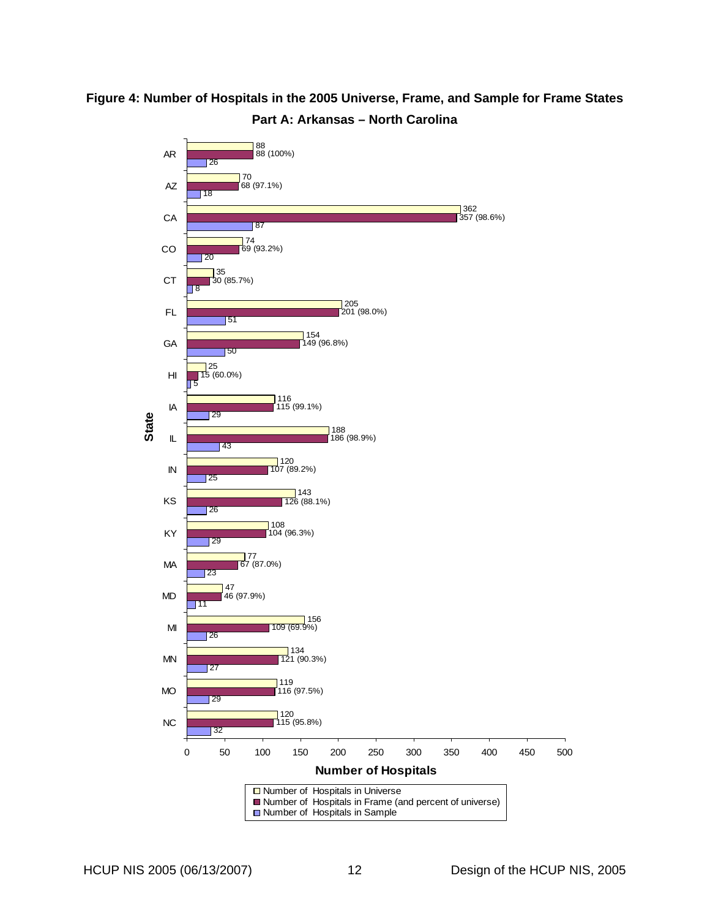# <span id="page-19-1"></span><span id="page-19-0"></span>**Figure 4: Number of Hospitals in the 2005 Universe, Frame, and Sample for Frame States Part A: Arkansas – North Carolina**

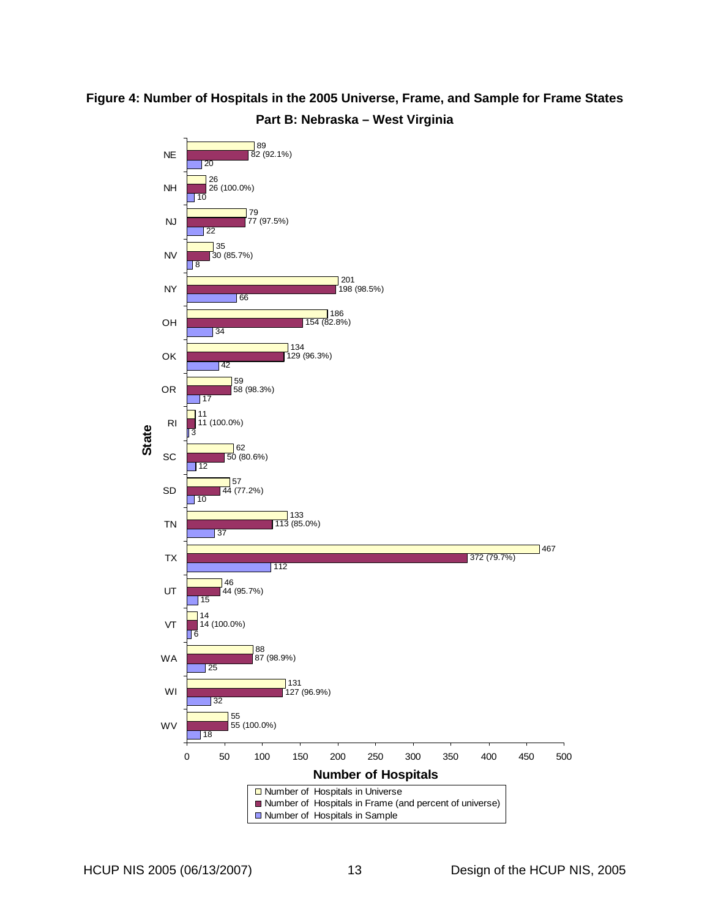# **Figure 4: Number of Hospitals in the 2005 Universe, Frame, and Sample for Frame States Part B: Nebraska – West Virginia**

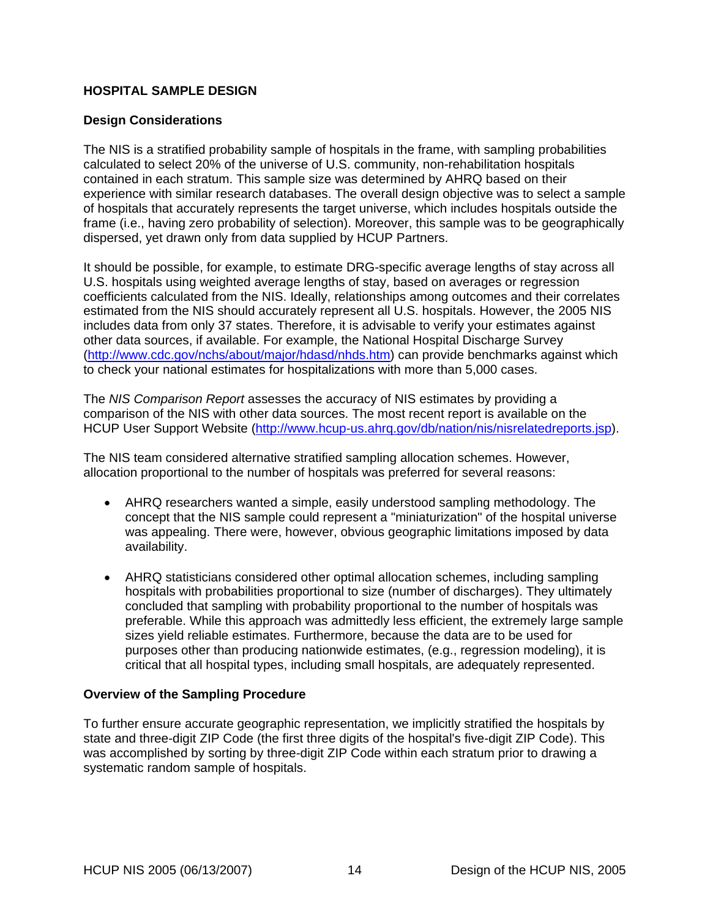## <span id="page-21-0"></span>**HOSPITAL SAMPLE DESIGN**

#### **Design Considerations**

The NIS is a stratified probability sample of hospitals in the frame, with sampling probabilities calculated to select 20% of the universe of U.S. community, non-rehabilitation hospitals contained in each stratum. This sample size was determined by AHRQ based on their experience with similar research databases. The overall design objective was to select a sample of hospitals that accurately represents the target universe, which includes hospitals outside the frame (i.e., having zero probability of selection). Moreover, this sample was to be geographically dispersed, yet drawn only from data supplied by HCUP Partners.

It should be possible, for example, to estimate DRG-specific average lengths of stay across all U.S. hospitals using weighted average lengths of stay, based on averages or regression coefficients calculated from the NIS. Ideally, relationships among outcomes and their correlates estimated from the NIS should accurately represent all U.S. hospitals. However, the 2005 NIS includes data from only 37 states. Therefore, it is advisable to verify your estimates against other data sources, if available. For example, the National Hospital Discharge Survey ([http://www.cdc.gov/nchs/about/major/hdasd/nhds.htm\)](http://www.cdc.gov/nchs/about/major/hdasd/nhds.htm) can provide benchmarks against which to check your national estimates for hospitalizations with more than 5,000 cases.

The *NIS Comparison Report* assesses the accuracy of NIS estimates by providing a comparison of the NIS with other data sources. The most recent report is available on the HCUP User Support Website [\(http://www.hcup-us.ahrq.gov/db/nation/nis/nisrelatedreports.jsp\)](http://www.hcup-us.ahrq.gov/db/nation/nis/nisrelatedreports.jsp).

The NIS team considered alternative stratified sampling allocation schemes. However, allocation proportional to the number of hospitals was preferred for several reasons:

- AHRQ researchers wanted a simple, easily understood sampling methodology. The concept that the NIS sample could represent a "miniaturization" of the hospital universe was appealing. There were, however, obvious geographic limitations imposed by data availability.
- AHRQ statisticians considered other optimal allocation schemes, including sampling hospitals with probabilities proportional to size (number of discharges). They ultimately concluded that sampling with probability proportional to the number of hospitals was preferable. While this approach was admittedly less efficient, the extremely large sample sizes yield reliable estimates. Furthermore, because the data are to be used for purposes other than producing nationwide estimates, (e.g., regression modeling), it is critical that all hospital types, including small hospitals, are adequately represented.

#### **Overview of the Sampling Procedure**

To further ensure accurate geographic representation, we implicitly stratified the hospitals by state and three-digit ZIP Code (the first three digits of the hospital's five-digit ZIP Code). This was accomplished by sorting by three-digit ZIP Code within each stratum prior to drawing a systematic random sample of hospitals.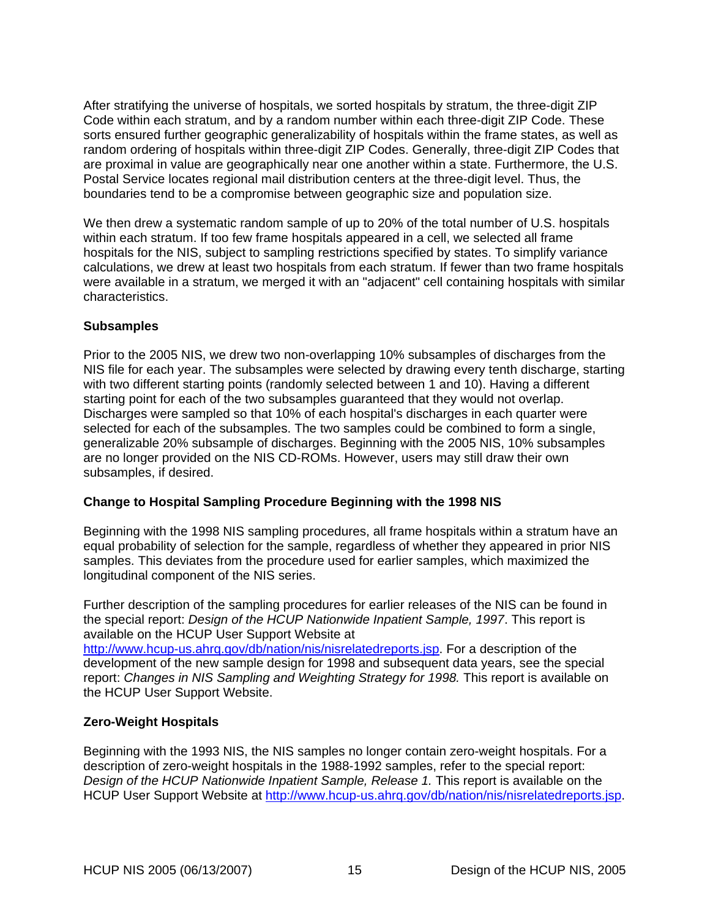<span id="page-22-0"></span>After stratifying the universe of hospitals, we sorted hospitals by stratum, the three-digit ZIP Code within each stratum, and by a random number within each three-digit ZIP Code. These sorts ensured further geographic generalizability of hospitals within the frame states, as well as random ordering of hospitals within three-digit ZIP Codes. Generally, three-digit ZIP Codes that are proximal in value are geographically near one another within a state. Furthermore, the U.S. Postal Service locates regional mail distribution centers at the three-digit level. Thus, the boundaries tend to be a compromise between geographic size and population size.

We then drew a systematic random sample of up to 20% of the total number of U.S. hospitals within each stratum. If too few frame hospitals appeared in a cell, we selected all frame hospitals for the NIS, subject to sampling restrictions specified by states. To simplify variance calculations, we drew at least two hospitals from each stratum. If fewer than two frame hospitals were available in a stratum, we merged it with an "adjacent" cell containing hospitals with similar characteristics.

## **Subsamples**

Prior to the 2005 NIS, we drew two non-overlapping 10% subsamples of discharges from the NIS file for each year. The subsamples were selected by drawing every tenth discharge, starting with two different starting points (randomly selected between 1 and 10). Having a different starting point for each of the two subsamples guaranteed that they would not overlap. Discharges were sampled so that 10% of each hospital's discharges in each quarter were selected for each of the subsamples. The two samples could be combined to form a single, generalizable 20% subsample of discharges. Beginning with the 2005 NIS, 10% subsamples are no longer provided on the NIS CD-ROMs. However, users may still draw their own subsamples, if desired.

## **Change to Hospital Sampling Procedure Beginning with the 1998 NIS**

Beginning with the 1998 NIS sampling procedures, all frame hospitals within a stratum have an equal probability of selection for the sample, regardless of whether they appeared in prior NIS samples. This deviates from the procedure used for earlier samples, which maximized the longitudinal component of the NIS series.

Further description of the sampling procedures for earlier releases of the NIS can be found in the special report: *Design of the HCUP Nationwide Inpatient Sample, 1997*. This report is available on the HCUP User Support Website at [http://www.hcup-us.ahrq.gov/db/nation/nis/nisrelatedreports.jsp.](http://www.hcup-us.ahrq.gov/db/nation/nis/nisrelatedreports.jsp) For a description of the

development of the new sample design for 1998 and subsequent data years, see the special report: *Changes in NIS Sampling and Weighting Strategy for 1998.* This report is available on the HCUP User Support Website.

## **Zero-Weight Hospitals**

Beginning with the 1993 NIS, the NIS samples no longer contain zero-weight hospitals. For a description of zero-weight hospitals in the 1988-1992 samples, refer to the special report: *Design of the HCUP Nationwide Inpatient Sample, Release 1.* This report is available on the HCUP User Support Website at<http://www.hcup-us.ahrq.gov/db/nation/nis/nisrelatedreports.jsp>.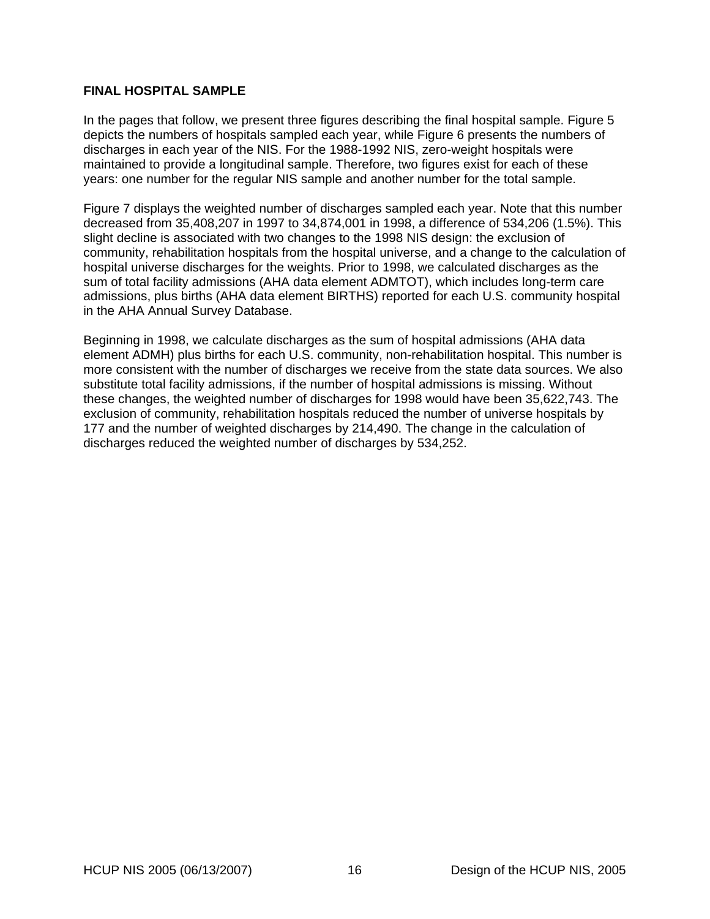## <span id="page-23-0"></span>**FINAL HOSPITAL SAMPLE**

In the pages that follow, we present three figures describing the final hospital sample. [Figure 5](#page-24-1) depicts the numbers of hospitals sampled each year, while [Figure 6](#page-25-1) presents the numbers of discharges in each year of the NIS. For the 1988-1992 NIS, zero-weight hospitals were maintained to provide a longitudinal sample. Therefore, two figures exist for each of these years: one number for the regular NIS sample and another number for the total sample.

[Figure 7](#page-26-1) displays the weighted number of discharges sampled each year. Note that this number decreased from 35,408,207 in 1997 to 34,874,001 in 1998, a difference of 534,206 (1.5%). This slight decline is associated with two changes to the 1998 NIS design: the exclusion of community, rehabilitation hospitals from the hospital universe, and a change to the calculation of hospital universe discharges for the weights. Prior to 1998, we calculated discharges as the sum of total facility admissions (AHA data element ADMTOT), which includes long-term care admissions, plus births (AHA data element BIRTHS) reported for each U.S. community hospital in the AHA Annual Survey Database.

Beginning in 1998, we calculate discharges as the sum of hospital admissions (AHA data element ADMH) plus births for each U.S. community, non-rehabilitation hospital. This number is more consistent with the number of discharges we receive from the state data sources. We also substitute total facility admissions, if the number of hospital admissions is missing. Without these changes, the weighted number of discharges for 1998 would have been 35,622,743. The exclusion of community, rehabilitation hospitals reduced the number of universe hospitals by 177 and the number of weighted discharges by 214,490. The change in the calculation of discharges reduced the weighted number of discharges by 534,252.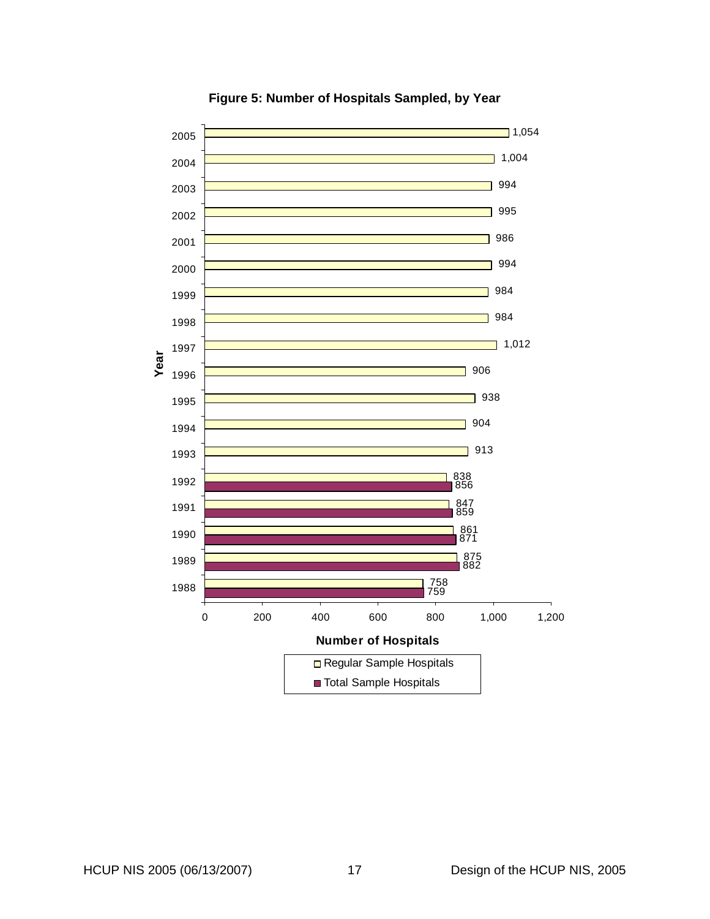<span id="page-24-1"></span><span id="page-24-0"></span>

**Figure 5: Number of Hospitals Sampled, by Year**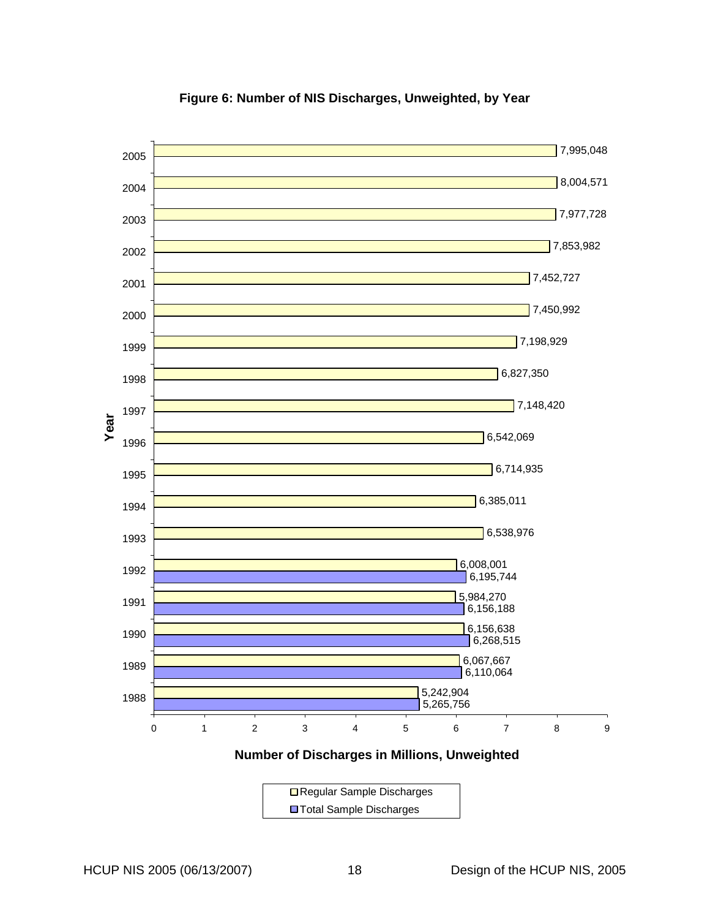<span id="page-25-1"></span><span id="page-25-0"></span>

## **Figure 6: Number of NIS Discharges, Unweighted, by Year**

**Number of Discharges in Millions, Unweighted**

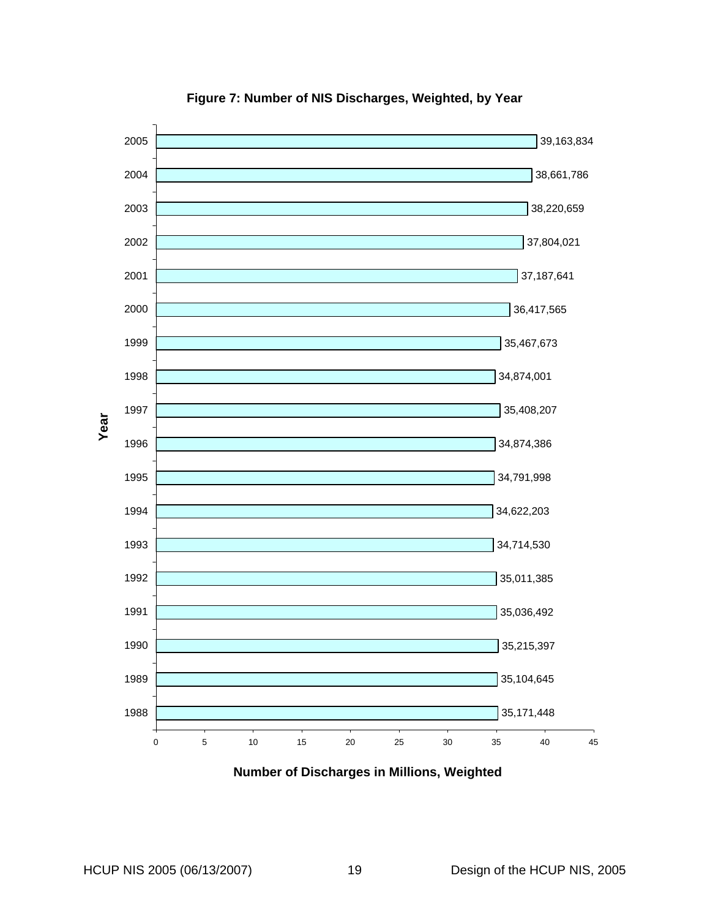<span id="page-26-1"></span><span id="page-26-0"></span>

**Figure 7: Number of NIS Discharges, Weighted, by Year** 

**Number of Discharges in Millions, Weighted**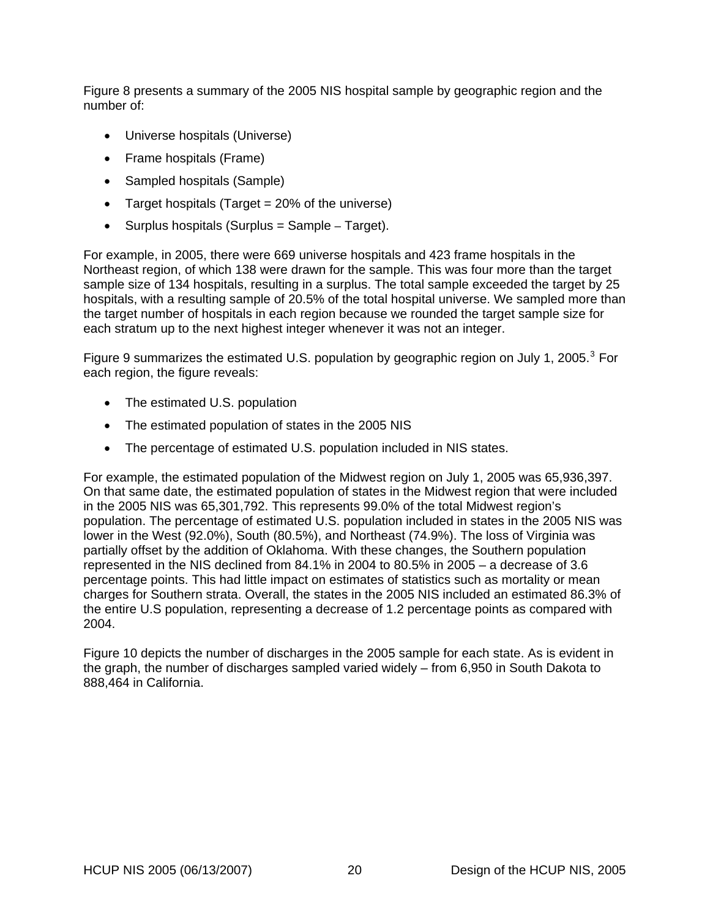[Figure 8](#page-28-1) presents a summary of the 2005 NIS hospital sample by geographic region and the number of:

- Universe hospitals (Universe)
- Frame hospitals (Frame)
- Sampled hospitals (Sample)
- Target hospitals (Target = 20% of the universe)
- Surplus hospitals (Surplus = Sample Target).

For example, in 2005, there were 669 universe hospitals and 423 frame hospitals in the Northeast region, of which 138 were drawn for the sample. This was four more than the target sample size of 134 hospitals, resulting in a surplus. The total sample exceeded the target by 25 hospitals, with a resulting sample of 20.5% of the total hospital universe. We sampled more than the target number of hospitals in each region because we rounded the target sample size for each stratum up to the next highest integer whenever it was not an integer.

[Figure 9](#page-29-1) summarizes the estimated U.S. population by geographic region on July 1, 2005. $3$  For each region, the figure reveals:

- The estimated U.S. population
- The estimated population of states in the 2005 NIS
- The percentage of estimated U.S. population included in NIS states.

For example, the estimated population of the Midwest region on July 1, 2005 was 65,936,397. On that same date, the estimated population of states in the Midwest region that were included in the 2005 NIS was 65,301,792. This represents 99.0% of the total Midwest region's population. The percentage of estimated U.S. population included in states in the 2005 NIS was lower in the West (92.0%), South (80.5%), and Northeast (74.9%). The loss of Virginia was partially offset by the addition of Oklahoma. With these changes, the Southern population represented in the NIS declined from 84.1% in 2004 to 80.5% in 2005 – a decrease of 3.6 percentage points. This had little impact on estimates of statistics such as mortality or mean charges for Southern strata. Overall, the states in the 2005 NIS included an estimated 86.3% of the entire U.S population, representing a decrease of 1.2 percentage points as compared with 2004.

[Figure 10](#page-30-1) depicts the number of discharges in the 2005 sample for each state. As is evident in the graph, the number of discharges sampled varied widely – from 6,950 in South Dakota to 888,464 in California.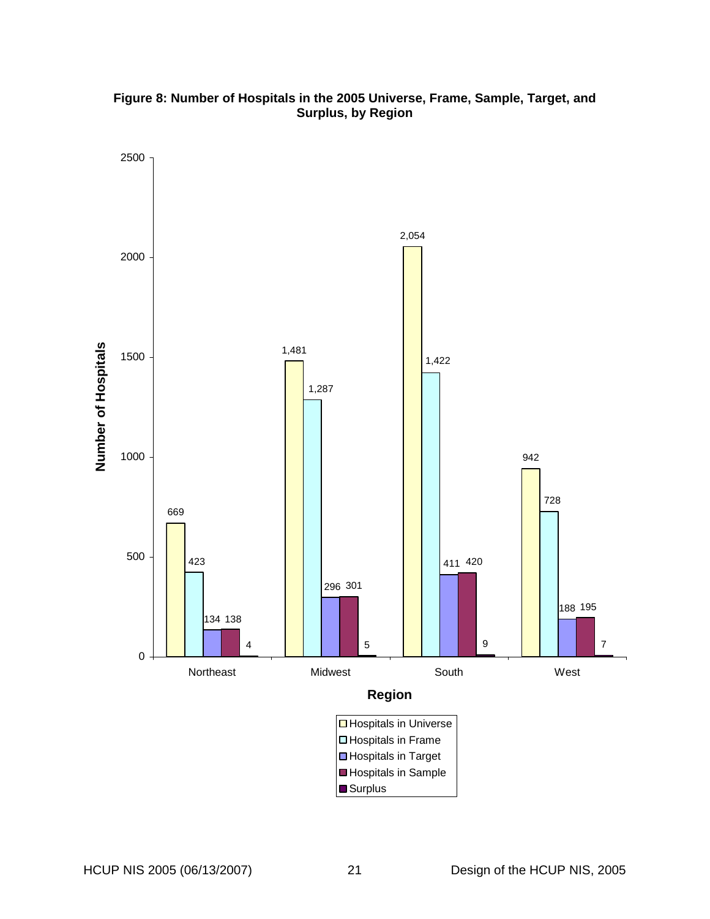<span id="page-28-1"></span><span id="page-28-0"></span>

## **Figure 8: Number of Hospitals in the 2005 Universe, Frame, Sample, Target, and Surplus, by Region**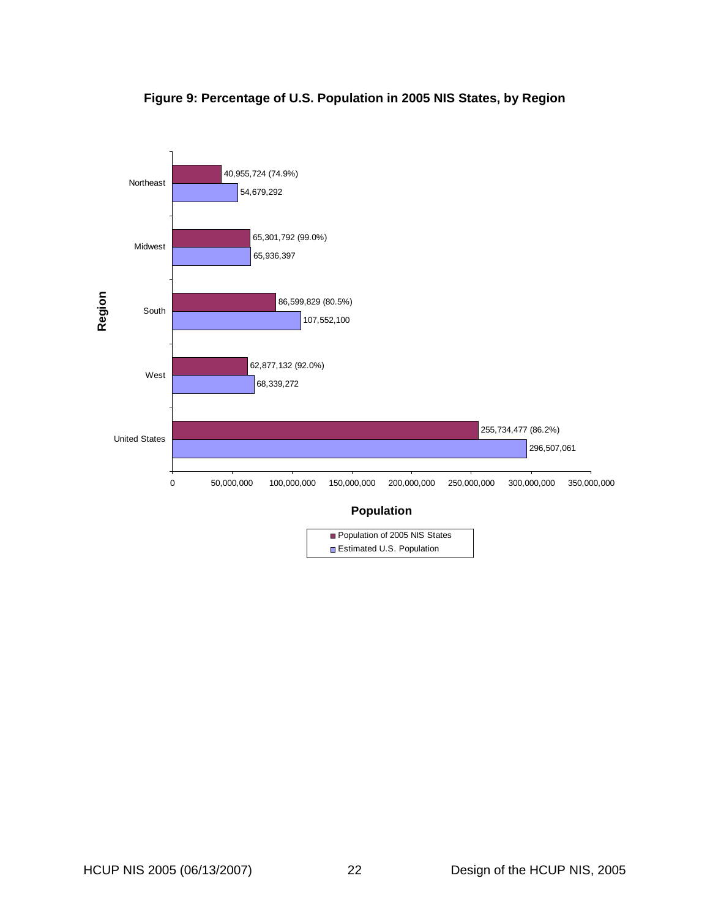# **Figure 9: Percentage of U.S. Population in 2005 NIS States, by Region**

<span id="page-29-1"></span><span id="page-29-0"></span>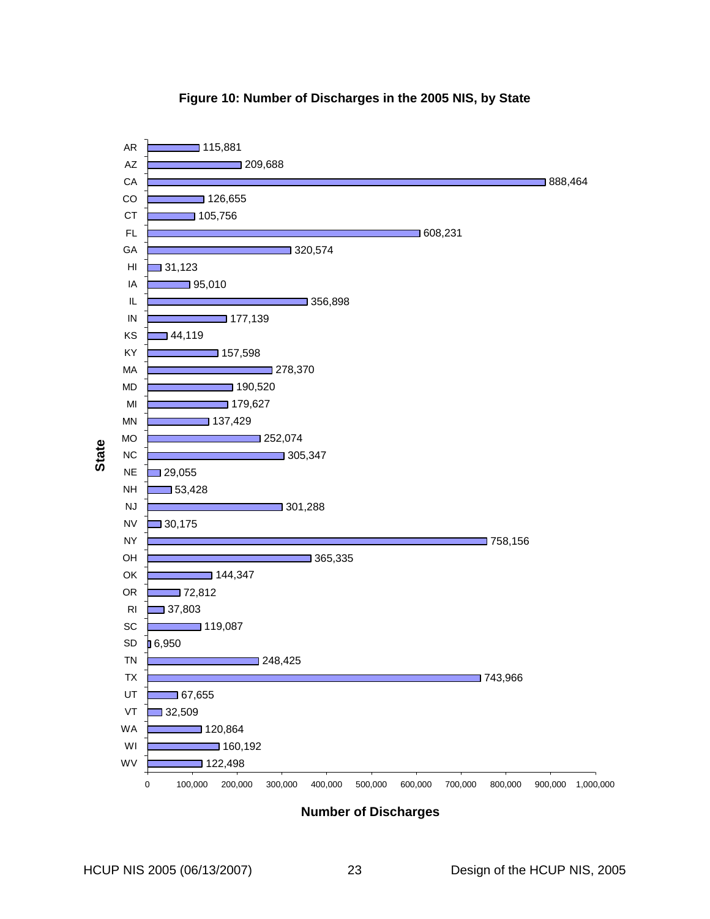<span id="page-30-1"></span><span id="page-30-0"></span>

#### **Figure 10: Number of Discharges in the 2005 NIS, by State**

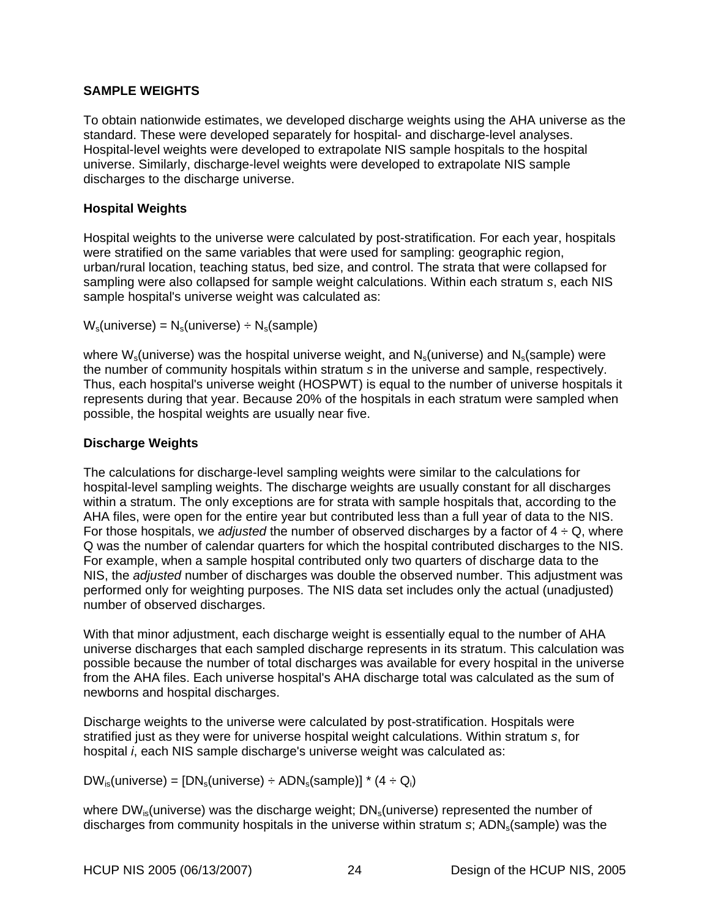## <span id="page-31-0"></span>**SAMPLE WEIGHTS**

To obtain nationwide estimates, we developed discharge weights using the AHA universe as the standard. These were developed separately for hospital- and discharge-level analyses. Hospital-level weights were developed to extrapolate NIS sample hospitals to the hospital universe. Similarly, discharge-level weights were developed to extrapolate NIS sample discharges to the discharge universe.

## **Hospital Weights**

Hospital weights to the universe were calculated by post-stratification. For each year, hospitals were stratified on the same variables that were used for sampling: geographic region, urban/rural location, teaching status, bed size, and control. The strata that were collapsed for sampling were also collapsed for sample weight calculations. Within each stratum *s*, each NIS sample hospital's universe weight was calculated as:

 $W_s$ (universe) =  $N_s$ (universe) ÷  $N_s$ (sample)

where  $W_s$ (universe) was the hospital universe weight, and  $N_s$ (universe) and  $N_s$ (sample) were the number of community hospitals within stratum *s* in the universe and sample, respectively. Thus, each hospital's universe weight (HOSPWT) is equal to the number of universe hospitals it represents during that year. Because 20% of the hospitals in each stratum were sampled when possible, the hospital weights are usually near five.

## **Discharge Weights**

The calculations for discharge-level sampling weights were similar to the calculations for hospital-level sampling weights. The discharge weights are usually constant for all discharges within a stratum. The only exceptions are for strata with sample hospitals that, according to the AHA files, were open for the entire year but contributed less than a full year of data to the NIS. For those hospitals, we *adjusted* the number of observed discharges by a factor of  $4 \div Q$ , where Q was the number of calendar quarters for which the hospital contributed discharges to the NIS. For example, when a sample hospital contributed only two quarters of discharge data to the NIS, the *adjusted* number of discharges was double the observed number. This adjustment was performed only for weighting purposes. The NIS data set includes only the actual (unadjusted) number of observed discharges.

With that minor adjustment, each discharge weight is essentially equal to the number of AHA universe discharges that each sampled discharge represents in its stratum. This calculation was possible because the number of total discharges was available for every hospital in the universe from the AHA files. Each universe hospital's AHA discharge total was calculated as the sum of newborns and hospital discharges.

Discharge weights to the universe were calculated by post-stratification. Hospitals were stratified just as they were for universe hospital weight calculations. Within stratum *s*, for hospital *i*, each NIS sample discharge's universe weight was calculated as:

 $DW_{is}$ (universe) =  $[DN_s$ (universe) ÷ ADN<sub>s</sub>(sample)] \* (4 ÷ Q<sub>i</sub>)

where  $DW_{is}$ (universe) was the discharge weight;  $DN_s$ (universe) represented the number of discharges from community hospitals in the universe within stratum *s*; ADN<sub>s</sub>(sample) was the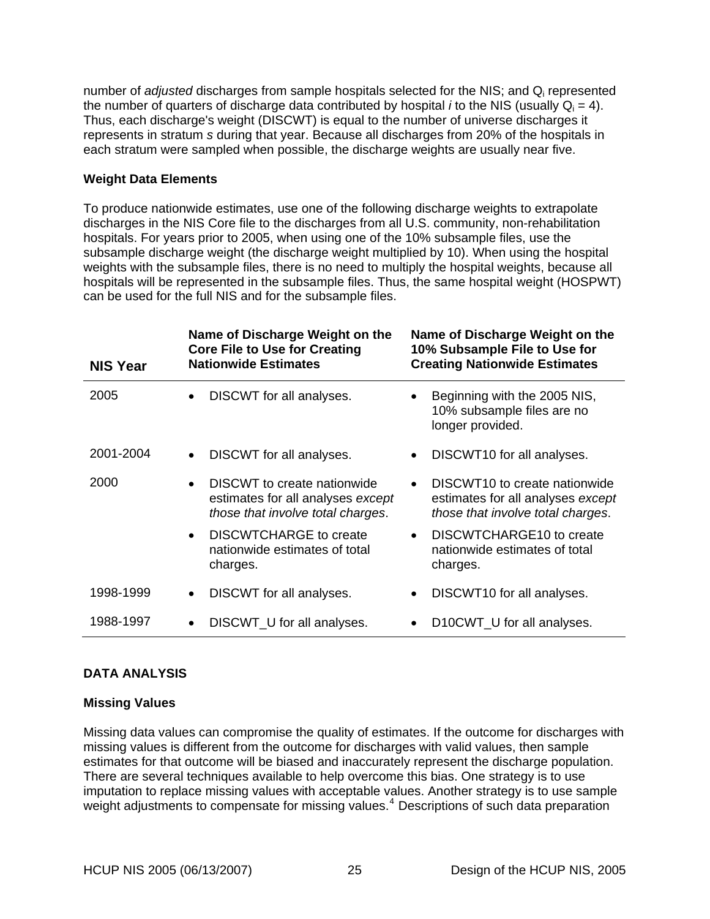<span id="page-32-0"></span>number of *adjusted* discharges from sample hospitals selected for the NIS; and Qi represented the number of quarters of discharge data contributed by hospital *i* to the NIS (usually  $Q_i = 4$ ). Thus, each discharge's weight (DISCWT) is equal to the number of universe discharges it represents in stratum *s* during that year. Because all discharges from 20% of the hospitals in each stratum were sampled when possible, the discharge weights are usually near five.

## **Weight Data Elements**

To produce nationwide estimates, use one of the following discharge weights to extrapolate discharges in the NIS Core file to the discharges from all U.S. community, non-rehabilitation hospitals. For years prior to 2005, when using one of the 10% subsample files, use the subsample discharge weight (the discharge weight multiplied by 10). When using the hospital weights with the subsample files, there is no need to multiply the hospital weights, because all hospitals will be represented in the subsample files. Thus, the same hospital weight (HOSPWT) can be used for the full NIS and for the subsample files.

| <b>NIS Year</b> | Name of Discharge Weight on the<br><b>Core File to Use for Creating</b><br><b>Nationwide Estimates</b>             | Name of Discharge Weight on the<br>10% Subsample File to Use for<br><b>Creating Nationwide Estimates</b> |
|-----------------|--------------------------------------------------------------------------------------------------------------------|----------------------------------------------------------------------------------------------------------|
| 2005            | DISCWT for all analyses.<br>$\bullet$                                                                              | Beginning with the 2005 NIS,<br>10% subsample files are no<br>longer provided.                           |
| 2001-2004       | DISCWT for all analyses.                                                                                           | DISCWT <sub>10</sub> for all analyses.                                                                   |
| 2000            | DISCWT to create nationwide<br>$\bullet$<br>estimates for all analyses except<br>those that involve total charges. | DISCWT10 to create nationwide<br>estimates for all analyses except<br>those that involve total charges.  |
|                 | DISCWTCHARGE to create<br>nationwide estimates of total<br>charges.                                                | DISCWTCHARGE10 to create<br>nationwide estimates of total<br>charges.                                    |
| 1998-1999       | DISCWT for all analyses.                                                                                           | DISCWT10 for all analyses.                                                                               |
| 1988-1997       | DISCWT_U for all analyses.                                                                                         | D10CWT_U for all analyses.                                                                               |

## **DATA ANALYSIS**

## **Missing Values**

Missing data values can compromise the quality of estimates. If the outcome for discharges with missing values is different from the outcome for discharges with valid values, then sample estimates for that outcome will be biased and inaccurately represent the discharge population. There are several techniques available to help overcome this bias. One strategy is to use imputation to replace missing values with acceptable values. Another strategy is to use sample weight adjustments to compensate for missing values.<sup>[4](#page-38-1)</sup> Descriptions of such data preparation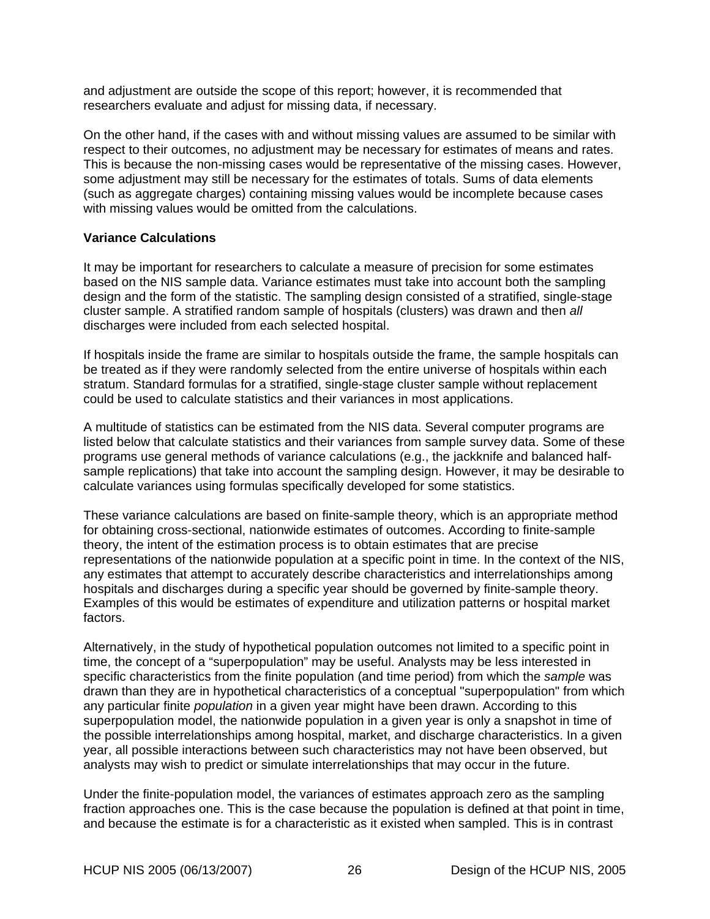<span id="page-33-0"></span>and adjustment are outside the scope of this report; however, it is recommended that researchers evaluate and adjust for missing data, if necessary.

On the other hand, if the cases with and without missing values are assumed to be similar with respect to their outcomes, no adjustment may be necessary for estimates of means and rates. This is because the non-missing cases would be representative of the missing cases. However, some adjustment may still be necessary for the estimates of totals. Sums of data elements (such as aggregate charges) containing missing values would be incomplete because cases with missing values would be omitted from the calculations.

#### **Variance Calculations**

It may be important for researchers to calculate a measure of precision for some estimates based on the NIS sample data. Variance estimates must take into account both the sampling design and the form of the statistic. The sampling design consisted of a stratified, single-stage cluster sample. A stratified random sample of hospitals (clusters) was drawn and then *all* discharges were included from each selected hospital.

If hospitals inside the frame are similar to hospitals outside the frame, the sample hospitals can be treated as if they were randomly selected from the entire universe of hospitals within each stratum. Standard formulas for a stratified, single-stage cluster sample without replacement could be used to calculate statistics and their variances in most applications.

A multitude of statistics can be estimated from the NIS data. Several computer programs are listed below that calculate statistics and their variances from sample survey data. Some of these programs use general methods of variance calculations (e.g., the jackknife and balanced halfsample replications) that take into account the sampling design. However, it may be desirable to calculate variances using formulas specifically developed for some statistics.

These variance calculations are based on finite-sample theory, which is an appropriate method for obtaining cross-sectional, nationwide estimates of outcomes. According to finite-sample theory, the intent of the estimation process is to obtain estimates that are precise representations of the nationwide population at a specific point in time. In the context of the NIS, any estimates that attempt to accurately describe characteristics and interrelationships among hospitals and discharges during a specific year should be governed by finite-sample theory. Examples of this would be estimates of expenditure and utilization patterns or hospital market factors.

Alternatively, in the study of hypothetical population outcomes not limited to a specific point in time, the concept of a "superpopulation" may be useful. Analysts may be less interested in specific characteristics from the finite population (and time period) from which the *sample* was drawn than they are in hypothetical characteristics of a conceptual "superpopulation" from which any particular finite *population* in a given year might have been drawn. According to this superpopulation model, the nationwide population in a given year is only a snapshot in time of the possible interrelationships among hospital, market, and discharge characteristics. In a given year, all possible interactions between such characteristics may not have been observed, but analysts may wish to predict or simulate interrelationships that may occur in the future.

Under the finite-population model, the variances of estimates approach zero as the sampling fraction approaches one. This is the case because the population is defined at that point in time, and because the estimate is for a characteristic as it existed when sampled. This is in contrast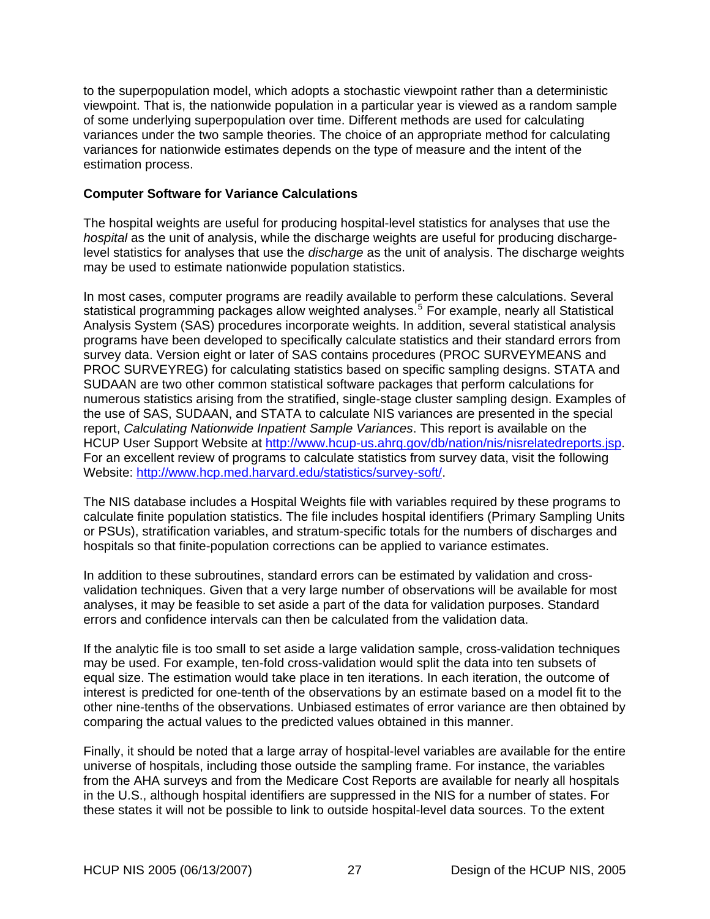<span id="page-34-0"></span>to the superpopulation model, which adopts a stochastic viewpoint rather than a deterministic viewpoint. That is, the nationwide population in a particular year is viewed as a random sample of some underlying superpopulation over time. Different methods are used for calculating variances under the two sample theories. The choice of an appropriate method for calculating variances for nationwide estimates depends on the type of measure and the intent of the estimation process.

## **Computer Software for Variance Calculations**

The hospital weights are useful for producing hospital-level statistics for analyses that use the *hospital* as the unit of analysis, while the discharge weights are useful for producing dischargelevel statistics for analyses that use the *discharge* as the unit of analysis. The discharge weights may be used to estimate nationwide population statistics.

In most cases, computer programs are readily available to perform these calculations. Several statistical programming packages allow weighted analyses.<sup>[5](#page-38-1)</sup> For example, nearly all Statistical Analysis System (SAS) procedures incorporate weights. In addition, several statistical analysis programs have been developed to specifically calculate statistics and their standard errors from survey data. Version eight or later of SAS contains procedures (PROC SURVEYMEANS and PROC SURVEYREG) for calculating statistics based on specific sampling designs. STATA and SUDAAN are two other common statistical software packages that perform calculations for numerous statistics arising from the stratified, single-stage cluster sampling design. Examples of the use of SAS, SUDAAN, and STATA to calculate NIS variances are presented in the special report, *Calculating Nationwide Inpatient Sample Variances*. This report is available on the HCUP User Support Website at<http://www.hcup-us.ahrq.gov/db/nation/nis/nisrelatedreports.jsp>. For an excellent review of programs to calculate statistics from survey data, visit the following Website: <http://www.hcp.med.harvard.edu/statistics/survey-soft/>.

The NIS database includes a Hospital Weights file with variables required by these programs to calculate finite population statistics. The file includes hospital identifiers (Primary Sampling Units or PSUs), stratification variables, and stratum-specific totals for the numbers of discharges and hospitals so that finite-population corrections can be applied to variance estimates.

In addition to these subroutines, standard errors can be estimated by validation and crossvalidation techniques. Given that a very large number of observations will be available for most analyses, it may be feasible to set aside a part of the data for validation purposes. Standard errors and confidence intervals can then be calculated from the validation data.

If the analytic file is too small to set aside a large validation sample, cross-validation techniques may be used. For example, ten-fold cross-validation would split the data into ten subsets of equal size. The estimation would take place in ten iterations. In each iteration, the outcome of interest is predicted for one-tenth of the observations by an estimate based on a model fit to the other nine-tenths of the observations. Unbiased estimates of error variance are then obtained by comparing the actual values to the predicted values obtained in this manner.

Finally, it should be noted that a large array of hospital-level variables are available for the entire universe of hospitals, including those outside the sampling frame. For instance, the variables from the AHA surveys and from the Medicare Cost Reports are available for nearly all hospitals in the U.S., although hospital identifiers are suppressed in the NIS for a number of states. For these states it will not be possible to link to outside hospital-level data sources. To the extent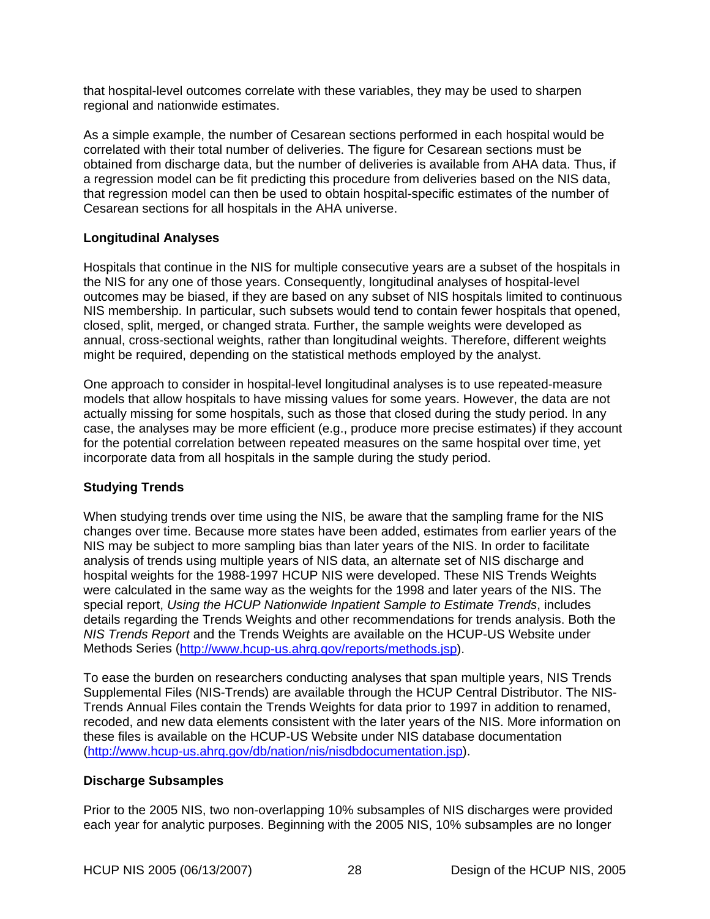<span id="page-35-0"></span>that hospital-level outcomes correlate with these variables, they may be used to sharpen regional and nationwide estimates.

As a simple example, the number of Cesarean sections performed in each hospital would be correlated with their total number of deliveries. The figure for Cesarean sections must be obtained from discharge data, but the number of deliveries is available from AHA data. Thus, if a regression model can be fit predicting this procedure from deliveries based on the NIS data, that regression model can then be used to obtain hospital-specific estimates of the number of Cesarean sections for all hospitals in the AHA universe.

#### **Longitudinal Analyses**

Hospitals that continue in the NIS for multiple consecutive years are a subset of the hospitals in the NIS for any one of those years. Consequently, longitudinal analyses of hospital-level outcomes may be biased, if they are based on any subset of NIS hospitals limited to continuous NIS membership. In particular, such subsets would tend to contain fewer hospitals that opened, closed, split, merged, or changed strata. Further, the sample weights were developed as annual, cross-sectional weights, rather than longitudinal weights. Therefore, different weights might be required, depending on the statistical methods employed by the analyst.

One approach to consider in hospital-level longitudinal analyses is to use repeated-measure models that allow hospitals to have missing values for some years. However, the data are not actually missing for some hospitals, such as those that closed during the study period. In any case, the analyses may be more efficient (e.g., produce more precise estimates) if they account for the potential correlation between repeated measures on the same hospital over time, yet incorporate data from all hospitals in the sample during the study period.

## **Studying Trends**

When studying trends over time using the NIS, be aware that the sampling frame for the NIS changes over time. Because more states have been added, estimates from earlier years of the NIS may be subject to more sampling bias than later years of the NIS. In order to facilitate analysis of trends using multiple years of NIS data, an alternate set of NIS discharge and hospital weights for the 1988-1997 HCUP NIS were developed. These NIS Trends Weights were calculated in the same way as the weights for the 1998 and later years of the NIS. The special report, *Using the HCUP Nationwide Inpatient Sample to Estimate Trends*, includes details regarding the Trends Weights and other recommendations for trends analysis. Both the *NIS Trends Report* and the Trends Weights are available on the HCUP-US Website under Methods Series [\(http://www.hcup-us.ahrq.gov/reports/methods.jsp](http://www.hcup-us.ahrq.gov/reports/methods.jsp)).

To ease the burden on researchers conducting analyses that span multiple years, NIS Trends Supplemental Files (NIS-Trends) are available through the HCUP Central Distributor. The NIS-Trends Annual Files contain the Trends Weights for data prior to 1997 in addition to renamed, recoded, and new data elements consistent with the later years of the NIS. More information on these files is available on the HCUP-US Website under NIS database documentation (<http://www.hcup-us.ahrq.gov/db/nation/nis/nisdbdocumentation.jsp>).

## **Discharge Subsamples**

Prior to the 2005 NIS, two non-overlapping 10% subsamples of NIS discharges were provided each year for analytic purposes. Beginning with the 2005 NIS, 10% subsamples are no longer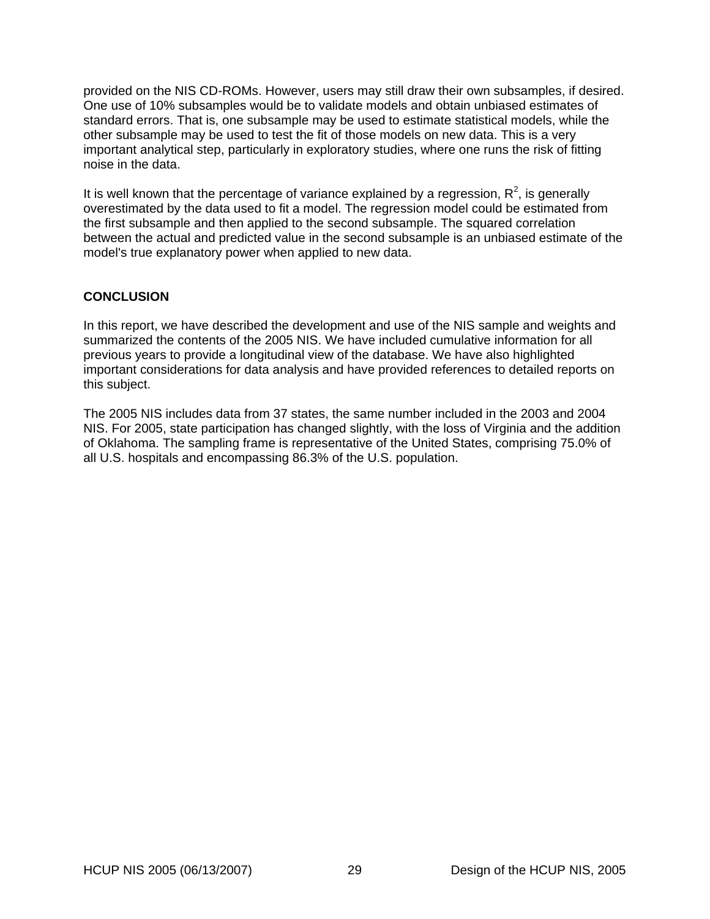<span id="page-36-0"></span>provided on the NIS CD-ROMs. However, users may still draw their own subsamples, if desired. One use of 10% subsamples would be to validate models and obtain unbiased estimates of standard errors. That is, one subsample may be used to estimate statistical models, while the other subsample may be used to test the fit of those models on new data. This is a very important analytical step, particularly in exploratory studies, where one runs the risk of fitting noise in the data.

It is well known that the percentage of variance explained by a regression,  $R^2$ , is generally overestimated by the data used to fit a model. The regression model could be estimated from the first subsample and then applied to the second subsample. The squared correlation between the actual and predicted value in the second subsample is an unbiased estimate of the model's true explanatory power when applied to new data.

## **CONCLUSION**

In this report, we have described the development and use of the NIS sample and weights and summarized the contents of the 2005 NIS. We have included cumulative information for all previous years to provide a longitudinal view of the database. We have also highlighted important considerations for data analysis and have provided references to detailed reports on this subject.

The 2005 NIS includes data from 37 states, the same number included in the 2003 and 2004 NIS. For 2005, state participation has changed slightly, with the loss of Virginia and the addition of Oklahoma. The sampling frame is representative of the United States, comprising 75.0% of all U.S. hospitals and encompassing 86.3% of the U.S. population.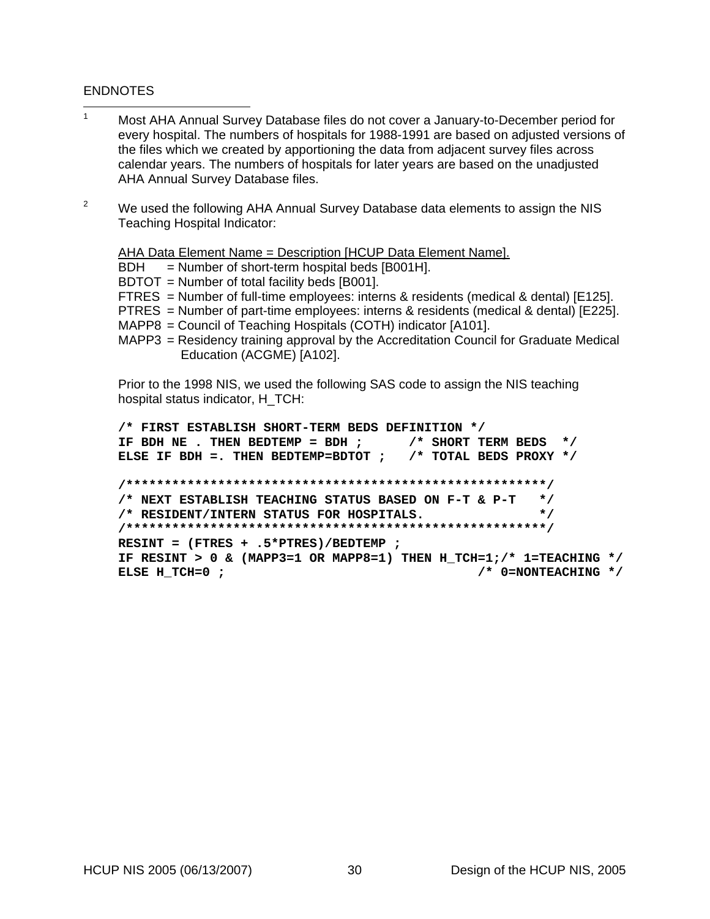#### ENDNOTES

- $\frac{1}{1}$  Most AHA Annual Survey Database files do not cover a January-to-December period for every hospital. The numbers of hospitals for 1988-1991 are based on adjusted versions of the files which we created by apportioning the data from adjacent survey files across calendar years. The numbers of hospitals for later years are based on the unadjusted AHA Annual Survey Database files.
- $\mathfrak{p}$  We used the following AHA Annual Survey Database data elements to assign the NIS Teaching Hospital Indicator:

AHA Data Element Name = Description [HCUP Data Element Name].

 $BDH = Number of short-term hospital beds [B001H].$ 

BDTOT = Number of total facility beds [B001].

FTRES = Number of full-time employees: interns & residents (medical & dental) [E125].

- PTRES = Number of part-time employees: interns & residents (medical & dental) [E225].
- MAPP8 = Council of Teaching Hospitals (COTH) indicator [A101].
- MAPP3 = Residency training approval by the Accreditation Council for Graduate Medical Education (ACGME) [A102].

Prior to the 1998 NIS, we used the following SAS code to assign the NIS teaching hospital status indicator, H\_TCH:

```
/* FIRST ESTABLISH SHORT-TERM BEDS DEFINITION */ 
IF BDH NE . THEN BEDTEMP = BDH ; /* SHORT TERM BEDS */ 
ELSE IF BDH =. THEN BEDTEMP=BDTOT ; /* TOTAL BEDS PROXY */ 
/*******************************************************/ 
/* NEXT ESTABLISH TEACHING STATUS BASED ON F-T & P-T */ 
/* RESIDENT/INTERN STATUS FOR HOSPITALS. */ 
/*******************************************************/ 
RESINT = (FTRES + .5*PTRES)/BEDTEMP ; 
IF RESINT > 0 & (MAPP3=1 OR MAPP8=1) THEN H_TCH=1;/* 1=TEACHING */ 
ELSE H TCH=0 ; \overline{ } /* 0=NONTEACHING */
```